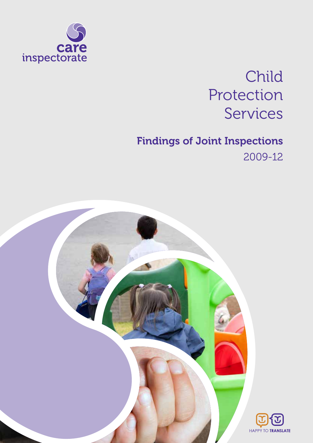

# Child Protection Services

# Findings of Joint Inspections 2009-12

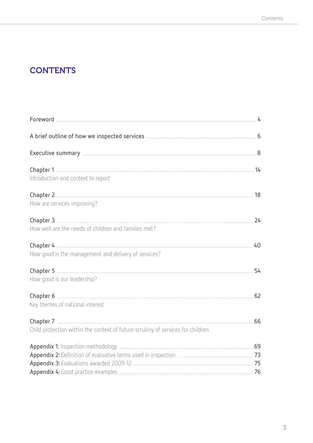# **CONTENTS**

| Introduction and context to report                                              |    |
|---------------------------------------------------------------------------------|----|
| How are services improving?                                                     |    |
| How well are the needs of children and families met?                            |    |
| How good is the management and delivery of services?                            | 40 |
| How good is our leadership?                                                     |    |
| Key themes of national interest                                                 |    |
| Child protection within the context of future scrutiny of services for children |    |
|                                                                                 |    |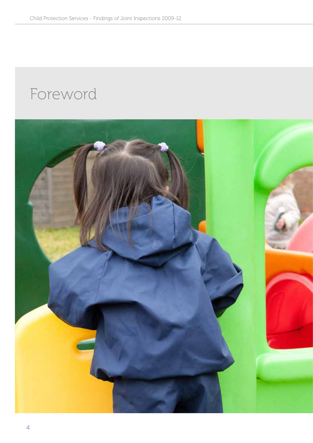# Foreword

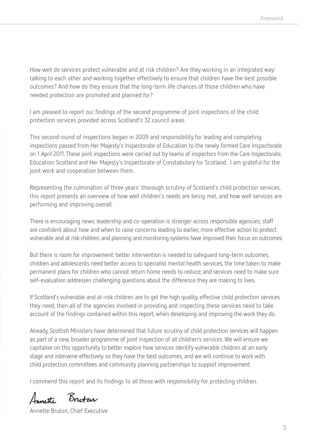How well do services protect vulnerable and at risk children? Are they working in an integrated way: talking to each other and working together effectively to ensure that children have the best possible outcomes? And how do they ensure that the long-term life chances of those children who have needed protection are promoted and planned for?

I am pleased to report our findings of the second programme of joint inspections of the child protection services provided across Scotland's 32 council areas.

This second round of inspections began in 2009 and responsibility for leading and completing inspections passed from Her Majesty's Inspectorate of Education to the newly formed Care Inspectorate on 1 April 2011. These joint inspections were carried out by teams of inspectors from the Care Inspectorate, Education Scotland and Her Majesty's Inspectorate of Constabulary for Scotland. I am grateful for the joint work and cooperation between them.

Representing the culmination of three years' thorough scrutiny of Scotland's child protection services, this report presents an overview of how well children's needs are being met, and how well services are performing and improving overall.

There is encouraging news: leadership and co-operation is stronger across responsible agencies; staff are confident about how and when to raise concerns leading to earlier, more effective action to protect vulnerable and at risk children; and planning and monitoring systems have improved their focus on outcomes.

But there is room for improvement: better intervention is needed to safeguard long-term outcomes; children and adolescents need better access to specialist mental health services; the time taken to make permanent plans for children who cannot return home needs to reduce; and services need to make sure self-evaluation addresses challenging questions about the difference they are making to lives.

If Scotland's vulnerable and at-risk children are to get the high quality, effective child protection services they need, then all of the agencies involved in providing and inspecting these services need to take account of the findings contained within this report, when developing and improving the work they do.

Already, Scottish Ministers have determined that future scrutiny of child protection services will happen as part of a new, broader programme of joint inspection of all children's services. We will ensure we capitalise on this opportunity to better explore how services identify vulnerable children at an early stage and intervene effectively so they have the best outcomes, and we will continue to work with child protection committees and community planning partnerships to support improvement.

I commend this report and its findings to all those with responsibility for protecting children.

Annette Brutar

Annette Bruton, Chief Executive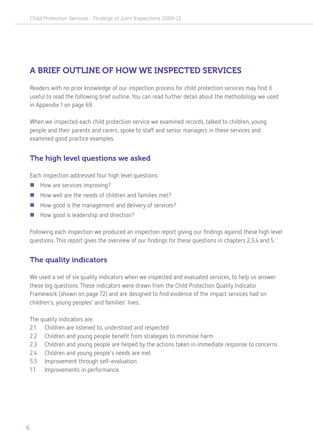## A brief outline of how we inspected services

Readers with no prior knowledge of our inspection process for child protection services may find it useful to read the following brief outline. You can read further detail about the methodology we used in Appendix 1 on page 69.

When we inspected each child protection service we examined records, talked to children, young people and their parents and carers, spoke to staff and senior managers in these services and examined good practice examples.

#### The high level questions we asked

Each inspection addressed four high level questions:

- $\blacksquare$  How are services improving?
- How well are the needs of children and families met?
- How good is the management and delivery of services?
- How good is leadership and direction?

Following each inspection we produced an inspection report giving our findings against these high level questions. This report gives the overview of our findings for these questions in chapters 2,3,4 and 5.

#### The quality indicators

We used a set of six quality indicators when we inspected and evaluated services, to help us answer these big questions. These indicators were drawn from the Child Protection Quality Indicator Framework (shown on page 72) and are designed to find evidence of the impact services had on children's, young peoples' and families' lives.

The quality indicators are:

- 2.1 Children are listened to, understood and respected
- 2.2 Children and young people benefit from strategies to minimise harm
- 2.3 Children and young people are helped by the actions taken in immediate response to concerns
- 2.4 Children and young people's needs are met
- 5.5 Improvement through self-evaluation
- 1.1 Improvements in performance.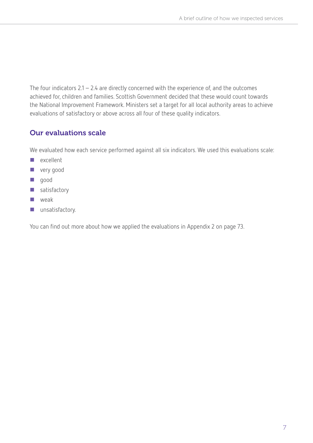The four indicators  $2.1 - 2.4$  are directly concerned with the experience of, and the outcomes achieved for, children and families. Scottish Government decided that these would count towards the National Improvement Framework. Ministers set a target for all local authority areas to achieve evaluations of satisfactory or above across all four of these quality indicators.

#### Our evaluations scale

We evaluated how each service performed against all six indicators. We used this evaluations scale:

- **E** excellent
- **very good**
- good
- satisfactory
- **N** weak
- **unsatisfactory.**

You can find out more about how we applied the evaluations in Appendix 2 on page 73.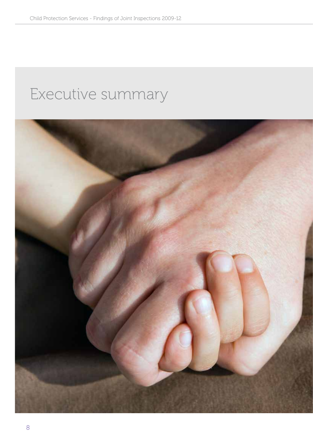# Executive summary

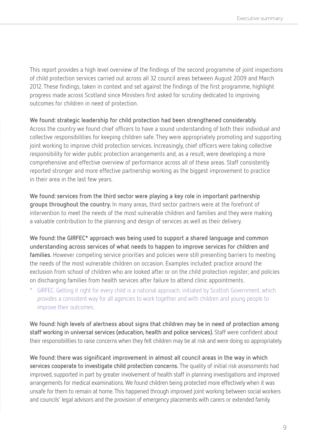This report provides a high level overview of the findings of the second programme of joint inspections of child protection services carried out across all 32 council areas between August 2009 and March 2012. These findings, taken in context and set against the findings of the first programme, highlight progress made across Scotland since Ministers first asked for scrutiny dedicated to improving outcomes for children in need of protection.

#### **We found: strategic leadership for child protection had been strengthened considerably.**

Across the country we found chief officers to have a sound understanding of both their individual and collective responsibilities for keeping children safe. They were appropriately promoting and supporting joint working to improve child protection services. Increasingly, chief officers were taking collective responsibility for wider public protection arrangements and, as a result, were developing a more comprehensive and effective overview of performance across all of these areas. Staff consistently reported stronger and more effective partnership working as the biggest improvement to practice in their area in the last few years.

**We found: services from the third sector were playing a key role in important partnership groups throughout the country.** In many areas, third sector partners were at the forefront of intervention to meet the needs of the most vulnerable children and families and they were making a valuable contribution to the planning and design of services as well as their delivery.

**We found: the GIRFEC\* approach was being used to support a shared language and common understanding across services of what needs to happen to improve services for children and families.** However competing service priorities and policies were still presenting barriers to meeting the needs of the most vulnerable children on occasion. Examples included: practice around the exclusion from school of children who are looked after or on the child protection register; and policies on discharging families from health services after failure to attend clinic appointments.

\* GIRFEC: Getting it right for every child is a national approach, initiated by Scottish Government, which provides a consistent way for all agencies to work together and with children and young people to improve their outcomes.

**We found: high levels of alertness about signs that children may be in need of protection among staff working in universal services (education, health and police services).** Staff were confident about their responsibilities to raise concerns when they felt children may be at risk and were doing so appropriately.

**We found: there was significant improvement in almost all council areas in the way in which services cooperate to investigate child protection concerns.** The quality of initial risk assessments had improved, supported in part by greater involvement of health staff in planning investigations and improved arrangements for medical examinations. We found children being protected more effectively when it was unsafe for them to remain at home. This happened through improved joint working between social workers and councils' legal advisors and the provision of emergency placements with carers or extended family.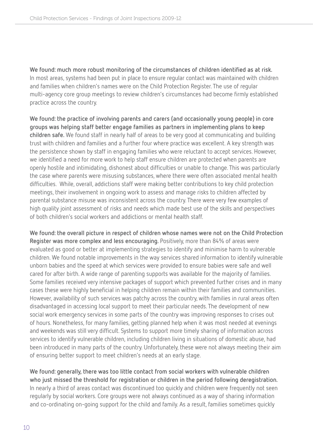**We found: much more robust monitoring of the circumstances of children identified as at risk.**  In most areas, systems had been put in place to ensure regular contact was maintained with children and families when children's names were on the Child Protection Register. The use of regular multi-agency core group meetings to review children's circumstances had become firmly established practice across the country.

**We found: the practice of involving parents and carers (and occasionally young people) in core groups was helping staff better engage families as partners in implementing plans to keep children safe.** We found staff in nearly half of areas to be very good at communicating and building trust with children and families and a further four where practice was excellent. A key strength was the persistence shown by staff in engaging families who were reluctant to accept services. However, we identified a need for more work to help staff ensure children are protected when parents are openly hostile and intimidating, dishonest about difficulties or unable to change. This was particularly the case where parents were misusing substances, where there were often associated mental health difficulties. While, overall, addictions staff were making better contributions to key child protection meetings, their involvement in ongoing work to assess and manage risks to children affected by parental substance misuse was inconsistent across the country. There were very few examples of high quality joint assessment of risks and needs which made best use of the skills and perspectives of both children's social workers and addictions or mental health staff.

**We found: the overall picture in respect of children whose names were not on the Child Protection Register was more complex and less encouraging.** Positively, more than 84% of areas were evaluated as good or better at implementing strategies to identify and minimise harm to vulnerable children. We found notable improvements in the way services shared information to identify vulnerable unborn babies and the speed at which services were provided to ensure babies were safe and well cared for after birth. A wide range of parenting supports was available for the majority of families. Some families received very intensive packages of support which prevented further crises and in many cases these were highly beneficial in helping children remain within their families and communities. However, availability of such services was patchy across the country, with families in rural areas often disadvantaged in accessing local support to meet their particular needs. The development of new social work emergency services in some parts of the country was improving responses to crises out of hours. Nonetheless, for many families, getting planned help when it was most needed at evenings and weekends was still very difficult. Systems to support more timely sharing of information across services to identify vulnerable children, including children living in situations of domestic abuse, had been introduced in many parts of the country. Unfortunately, these were not always meeting their aim of ensuring better support to meet children's needs at an early stage.

**We found: generally, there was too little contact from social workers with vulnerable children who just missed the threshold for registration or children in the period following deregistration.** In nearly a third of areas contact was discontinued too quickly and children were frequently not seen regularly by social workers. Core groups were not always continued as a way of sharing information and co-ordinating on-going support for the child and family. As a result, families sometimes quickly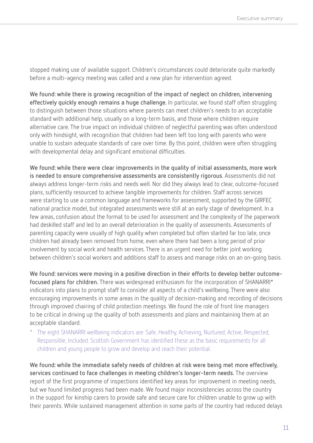stopped making use of available support. Children's circumstances could deteriorate quite markedly before a multi-agency meeting was called and a new plan for intervention agreed.

**We found: while there is growing recognition of the impact of neglect on children, intervening effectively quickly enough remains a huge challenge.** In particular, we found staff often struggling to distinguish between those situations where parents can meet children's needs to an acceptable standard with additional help, usually on a long-term basis, and those where children require alternative care. The true impact on individual children of neglectful parenting was often understood only with hindsight, with recognition that children had been left too long with parents who were unable to sustain adequate standards of care over time. By this point, children were often struggling with developmental delay and significant emotional difficulties.

**We found: while there were clear improvements in the quality of initial assessments, more work is needed to ensure comprehensive assessments are consistently rigorous**. Assessments did not always address longer-term risks and needs well. Nor did they always lead to clear, outcome-focused plans, sufficiently resourced to achieve tangible improvements for children. Staff across services were starting to use a common language and frameworks for assessment, supported by the GIRFEC national practice model, but integrated assessments were still at an early stage of development. In a few areas, confusion about the format to be used for assessment and the complexity of the paperwork had deskilled staff and led to an overall deterioration in the quality of assessments. Assessments of parenting capacity were usually of high quality when completed but often started far too late, once children had already been removed from home, even where there had been a long period of prior involvement by social work and health services. There is an urgent need for better joint working between children's social workers and additions staff to assess and manage risks on an on-going basis.

**We found: services were moving in a positive direction in their efforts to develop better outcomefocused plans for children.** There was widespread enthusiasm for the incorporation of SHANARRI\* indicators into plans to prompt staff to consider all aspects of a child's wellbeing. There were also encouraging improvements in some areas in the quality of decision-making and recording of decisions through improved chairing of child protection meetings. We found the role of front line managers to be critical in driving up the quality of both assessments and plans and maintaining them at an acceptable standard.

\* The eight SHANARRI wellbeing indicators are: Safe, Healthy, Achieving, Nurtured, Active, Respected, Responsible, Included. Scottish Government has identified these as the basic requirements for all children and young people to grow and develop and reach their potential.

**We found: while the immediate safety needs of children at risk were being met more effectively, services continued to face challenges in meeting children's longer-term needs.** The overview report of the first programme of inspections identified key areas for improvement in meeting needs, but we found limited progress had been made. We found major inconsistencies across the country in the support for kinship carers to provide safe and secure care for children unable to grow up with their parents. While sustained management attention in some parts of the country had reduced delays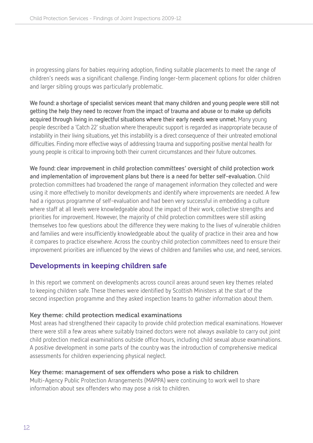in progressing plans for babies requiring adoption, finding suitable placements to meet the range of children's needs was a significant challenge. Finding longer-term placement options for older children and larger sibling groups was particularly problematic.

**We found: a shortage of specialist services meant that many children and young people were still not getting the help they need to recover from the impact of trauma and abuse or to make up deficits acquired through living in neglectful situations where their early needs were unmet.** Many young people described a 'Catch 22' situation where therapeutic support is regarded as inappropriate because of instability in their living situations, yet this instability is a direct consequence of their untreated emotional difficulties. Finding more effective ways of addressing trauma and supporting positive mental health for young people is critical to improving both their current circumstances and their future outcomes.

**We found: clear improvement in child protection committees' oversight of child protection work and implementation of improvement plans but there is a need for better self-evaluation.** Child protection committees had broadened the range of management information they collected and were using it more effectively to monitor developments and identify where improvements are needed. A few had a rigorous programme of self-evaluation and had been very successful in embedding a culture where staff at all levels were knowledgeable about the impact of their work, collective strengths and priorities for improvement. However, the majority of child protection committees were still asking themselves too few questions about the difference they were making to the lives of vulnerable children and families and were insufficiently knowledgeable about the quality of practice in their area and how it compares to practice elsewhere. Across the country child protection committees need to ensure their improvement priorities are influenced by the views of children and families who use, and need, services.

### Developments in keeping children safe

In this report we comment on developments across council areas around seven key themes related to keeping children safe. These themes were identified by Scottish Ministers at the start of the second inspection programme and they asked inspection teams to gather information about them.

#### Key theme: child protection medical examinations

Most areas had strengthened their capacity to provide child protection medical examinations. However there were still a few areas where suitably trained doctors were not always available to carry out joint child protection medical examinations outside office hours, including child sexual abuse examinations. A positive development in some parts of the country was the introduction of comprehensive medical assessments for children experiencing physical neglect.

#### Key theme: management of sex offenders who pose a risk to children

Multi-Agency Public Protection Arrangements (MAPPA) were continuing to work well to share information about sex offenders who may pose a risk to children.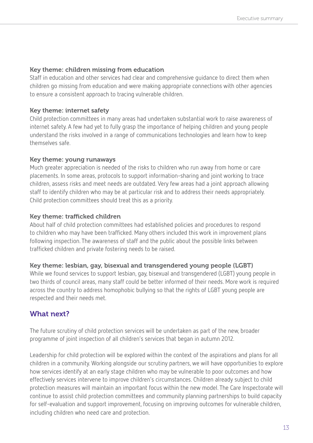#### Key theme: children missing from education

Staff in education and other services had clear and comprehensive guidance to direct them when children go missing from education and were making appropriate connections with other agencies to ensure a consistent approach to tracing vulnerable children.

#### Key theme: internet safety

Child protection committees in many areas had undertaken substantial work to raise awareness of internet safety. A few had yet to fully grasp the importance of helping children and young people understand the risks involved in a range of communications technologies and learn how to keep themselves safe.

#### Key theme: young runaways

Much greater appreciation is needed of the risks to children who run away from home or care placements. In some areas, protocols to support information-sharing and joint working to trace children, assess risks and meet needs are outdated. Very few areas had a joint approach allowing staff to identify children who may be at particular risk and to address their needs appropriately. Child protection committees should treat this as a priority.

#### Key theme: trafficked children

About half of child protection committees had established policies and procedures to respond to children who may have been trafficked. Many others included this work in improvement plans following inspection. The awareness of staff and the public about the possible links between trafficked children and private fostering needs to be raised.

#### Key theme: lesbian, gay, bisexual and transgendered young people (LGBT)

While we found services to support lesbian, gay, bisexual and transgendered (LGBT) young people in two thirds of council areas, many staff could be better informed of their needs. More work is required across the country to address homophobic bullying so that the rights of LGBT young people are respected and their needs met.

#### What next?

The future scrutiny of child protection services will be undertaken as part of the new, broader programme of joint inspection of all children's services that began in autumn 2012.

Leadership for child protection will be explored within the context of the aspirations and plans for all children in a community. Working alongside our scrutiny partners, we will have opportunities to explore how services identify at an early stage children who may be vulnerable to poor outcomes and how effectively services intervene to improve children's circumstances. Children already subject to child protection measures will maintain an important focus within the new model. The Care Inspectorate will continue to assist child protection committees and community planning partnerships to build capacity for self-evaluation and support improvement, focusing on improving outcomes for vulnerable children, including children who need care and protection.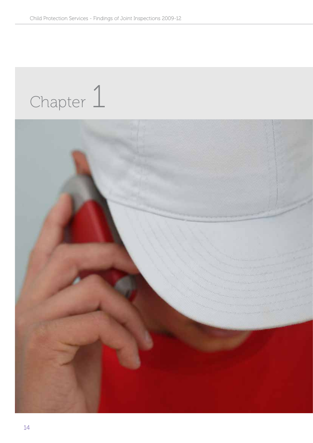# Chapter 1

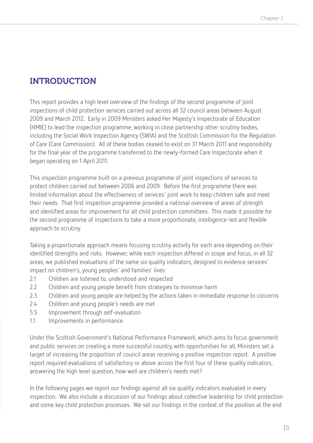# INTRODUCTION

This report provides a high level overview of the findings of the second programme of joint inspections of child protection services carried out across all 32 council areas between August 2009 and March 2012. Early in 2009 Ministers asked Her Majesty's Inspectorate of Education (HMIE) to lead the inspection programme, working in close partnership other scrutiny bodies, including the Social Work Inspection Agency (SWIA) and the Scottish Commission for the Regulation of Care (Care Commission). All of these bodies ceased to exist on 31 March 2011 and responsibility for the final year of the programme transferred to the newly-formed Care Inspectorate when it began operating on 1 April 2011.

This inspection programme built on a previous programme of joint inspections of services to protect children carried out between 2006 and 2009. Before the first programme there was limited information about the effectiveness of services' joint work to keep children safe and meet their needs. That first inspection programme provided a national overview of areas of strength and identified areas for improvement for all child protection committees. This made it possible for the second programme of inspections to take a more proportionate, intelligence-led and flexible approach to scrutiny.

Taking a proportionate approach means focusing scrutiny activity for each area depending on their identified strengths and risks. However, while each inspection differed in scope and focus, in all 32 areas, we published evaluations of the same six quality indicators, designed to evidence services' impact on children's, young peoples' and families' lives:

- 2.1 Children are listened to, understood and respected
- 2.2 Children and young people benefit from strategies to minimise harm
- 2.3 Children and young people are helped by the actions taken in immediate response to concerns
- 2.4 Children and young people's needs are met
- 5.5 Improvement through self-evaluation
- 1.1 Improvements in performance.

Under the Scottish Government's National Performance Framework, which aims to focus government and public services on creating a more successful country, with opportunities for all, Ministers set a target of increasing the proportion of council areas receiving a positive inspection report. A positive report required evaluations of satisfactory or above across the first four of these quality indicators, answering the high level question, how well are children's needs met?

In the following pages we report our findings against all six quality indicators evaluated in every inspection. We also include a discussion of our findings about collective leadership for child protection and some key child protection processes. We set our findings in the context of the position at the end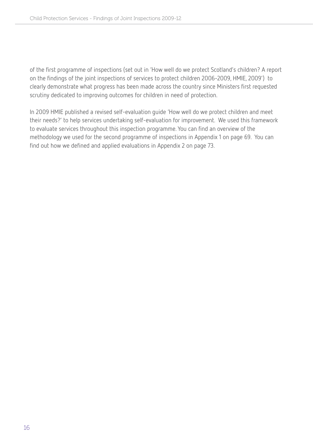of the first programme of inspections (set out in 'How well do we protect Scotland's children? A report on the findings of the joint inspections of services to protect children 2006-2009, HMIE, 2009') to clearly demonstrate what progress has been made across the country since Ministers first requested scrutiny dedicated to improving outcomes for children in need of protection.

In 2009 HMIE published a revised self-evaluation guide 'How well do we protect children and meet their needs?' to help services undertaking self-evaluation for improvement. We used this framework to evaluate services throughout this inspection programme. You can find an overview of the methodology we used for the second programme of inspections in Appendix 1 on page 69. You can find out how we defined and applied evaluations in Appendix 2 on page 73.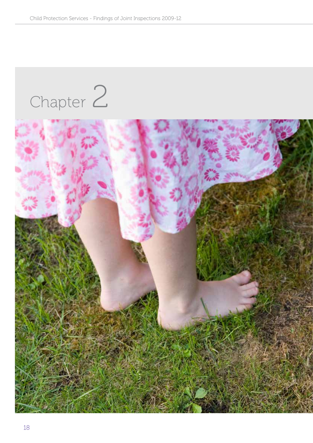# Chapter 2

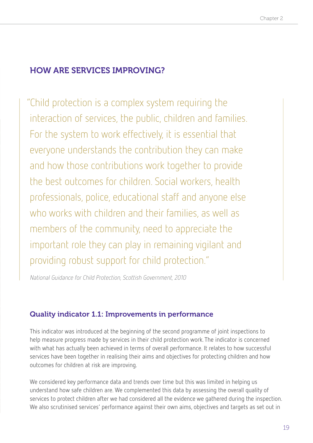### HOW ARE SERVICES IMPROVING?

"Child protection is a complex system requiring the interaction of services, the public, children and families. For the system to work effectively, it is essential that everyone understands the contribution they can make and how those contributions work together to provide the best outcomes for children. Social workers, health professionals, police, educational staff and anyone else who works with children and their families, as well as members of the community, need to appreciate the important role they can play in remaining vigilant and providing robust support for child protection."

National Guidance for Child Protection, Scottish Government, 2010

#### Quality indicator 1.1: Improvements in performance

This indicator was introduced at the beginning of the second programme of joint inspections to help measure progress made by services in their child protection work. The indicator is concerned with what has actually been achieved in terms of overall performance. It relates to how successful services have been together in realising their aims and objectives for protecting children and how outcomes for children at risk are improving.

We considered key performance data and trends over time but this was limited in helping us understand how safe children are. We complemented this data by assessing the overall quality of services to protect children after we had considered all the evidence we gathered during the inspection. We also scrutinised services' performance against their own aims, objectives and targets as set out in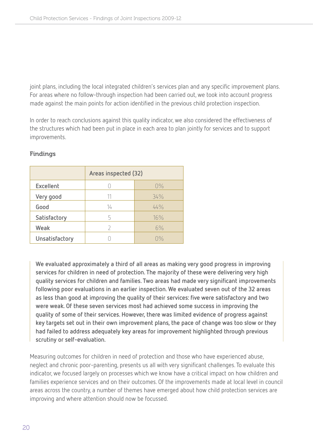joint plans, including the local integrated children's services plan and any specific improvement plans. For areas where no follow-through inspection had been carried out, we took into account progress made against the main points for action identified in the previous child protection inspection.

In order to reach conclusions against this quality indicator, we also considered the effectiveness of the structures which had been put in place in each area to plan jointly for services and to support improvements.

|                | Areas inspected (32) |       |  |
|----------------|----------------------|-------|--|
| Excellent      |                      | $0\%$ |  |
| Very good      |                      | 34%   |  |
| Good           | 14                   | 44%   |  |
| Satisfactory   | 5                    | 16%   |  |
| Weak           | 7                    | 6%    |  |
| Unsatisfactory |                      | $0\%$ |  |

#### Findings

**We evaluated approximately a third of all areas as making very good progress in improving services for children in need of protection. The majority of these were delivering very high quality services for children and families. Two areas had made very significant improvements following poor evaluations in an earlier inspection. We evaluated seven out of the 32 areas as less than good at improving the quality of their services: five were satisfactory and two were weak. Of these seven services most had achieved some success in improving the quality of some of their services. However, there was limited evidence of progress against key targets set out in their own improvement plans, the pace of change was too slow or they had failed to address adequately key areas for improvement highlighted through previous scrutiny or self-evaluation.** 

Measuring outcomes for children in need of protection and those who have experienced abuse, neglect and chronic poor-parenting, presents us all with very significant challenges. To evaluate this indicator, we focused largely on processes which we know have a critical impact on how children and families experience services and on their outcomes. Of the improvements made at local level in council areas across the country, a number of themes have emerged about how child protection services are improving and where attention should now be focussed.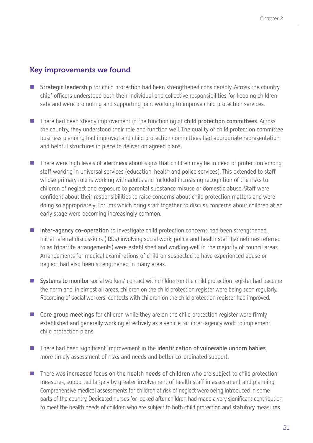#### Key improvements we found

- **Strategic leadership** for child protection had been strengthened considerably. Across the country chief officers understood both their individual and collective responsibilities for keeping children safe and were promoting and supporting joint working to improve child protection services.
- There had been steady improvement in the functioning of **child protection committees**. Across the country, they understood their role and function well. The quality of child protection committee business planning had improved and child protection committees had appropriate representation and helpful structures in place to deliver on agreed plans.
- There were high levels of **alertness** about signs that children may be in need of protection among staff working in universal services (education, health and police services). This extended to staff whose primary role is working with adults and included increasing recognition of the risks to children of neglect and exposure to parental substance misuse or domestic abuse. Staff were confident about their responsibilities to raise concerns about child protection matters and were doing so appropriately. Forums which bring staff together to discuss concerns about children at an early stage were becoming increasingly common.
- **Inter-agency co-operation** to investigate child protection concerns had been strengthened. Initial referral discussions (IRDs) involving social work, police and health staff (sometimes referred to as tripartite arrangements) were established and working well in the majority of council areas. Arrangements for medical examinations of children suspected to have experienced abuse or neglect had also been strengthened in many areas.
- **Systems to monitor** social workers' contact with children on the child protection register had become the norm and, in almost all areas, children on the child protection register were being seen regularly. Recording of social workers' contacts with children on the child protection register had improved.
- Core group meetings for children while they are on the child protection register were firmly established and generally working effectively as a vehicle for inter-agency work to implement child protection plans.
- There had been significant improvement in the **identification of vulnerable unborn babies**, more timely assessment of risks and needs and better co-ordinated support.
- There was **increased focus on the health needs of children** who are subject to child protection measures, supported largely by greater involvement of health staff in assessment and planning. Comprehensive medical assessments for children at risk of neglect were being introduced in some parts of the country. Dedicated nurses for looked after children had made a very significant contribution to meet the health needs of children who are subject to both child protection and statutory measures.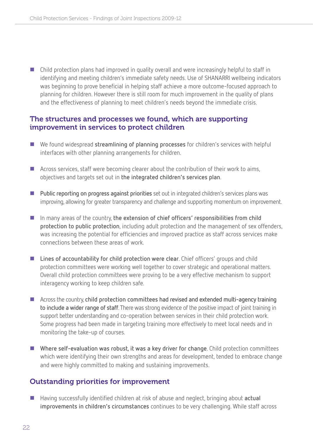Child protection plans had improved in quality overall and were increasingly helpful to staff in identifying and meeting children's immediate safety needs. Use of SHANARRI wellbeing indicators was beginning to prove beneficial in helping staff achieve a more outcome-focused approach to planning for children. However there is still room for much improvement in the quality of plans and the effectiveness of planning to meet children's needs beyond the immediate crisis.

#### The structures and processes we found, which are supporting improvement in services to protect children

- We found widespread **streamlining of planning processes** for children's services with helpful interfaces with other planning arrangements for children.
- **E** Across services, staff were becoming clearer about the contribution of their work to aims, objectives and targets set out in **the integrated children's services plan**.
- **Public reporting on progress against priorities** set out in integrated children's services plans was improving, allowing for greater transparency and challenge and supporting momentum on improvement.
- In many areas of the country, **the extension of chief officers' responsibilities from child protection to public protection**, including adult protection and the management of sex offenders, was increasing the potential for efficiencies and improved practice as staff across services make connections between these areas of work.
- Lines of accountability for child protection were clear. Chief officers' groups and child protection committees were working well together to cover strategic and operational matters. Overall child protection committees were proving to be a very effective mechanism to support interagency working to keep children safe.
- Across the country, child protection committees had revised and extended multi-agency training **to include a wider range of staff**. There was strong evidence of the positive impact of joint training in support better understanding and co-operation between services in their child protection work. Some progress had been made in targeting training more effectively to meet local needs and in monitoring the take-up of courses.
- **Where self-evaluation was robust, it was a key driver for change**. Child protection committees which were identifying their own strengths and areas for development, tended to embrace change and were highly committed to making and sustaining improvements.

#### Outstanding priorities for improvement

■ Having successfully identified children at risk of abuse and neglect, bringing about actual **improvements in children's circumstances** continues to be very challenging. While staff across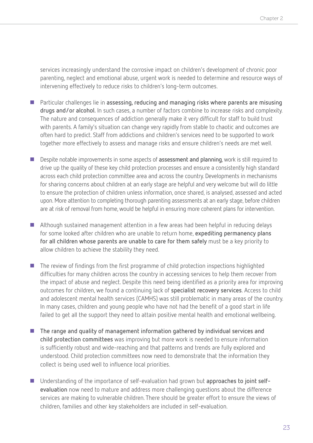services increasingly understand the corrosive impact on children's development of chronic poor parenting, neglect and emotional abuse, urgent work is needed to determine and resource ways of intervening effectively to reduce risks to children's long-term outcomes.

- Particular challenges lie in **assessing, reducing and managing risks where parents are misusing drugs and/or alcohol.** In such cases, a number of factors combine to increase risks and complexity. The nature and consequences of addiction generally make it very difficult for staff to build trust with parents. A family's situation can change very rapidly from stable to chaotic and outcomes are often hard to predict. Staff from addictions and children's services need to be supported to work together more effectively to assess and manage risks and ensure children's needs are met well.
- Despite notable improvements in some aspects of **assessment and planning**, work is still required to drive up the quality of these key child protection processes and ensure a consistently high standard across each child protection committee area and across the country. Developments in mechanisms for sharing concerns about children at an early stage are helpful and very welcome but will do little to ensure the protection of children unless information, once shared, is analysed, assessed and acted upon. More attention to completing thorough parenting assessments at an early stage, before children are at risk of removal from home, would be helpful in ensuring more coherent plans for intervention.
- Although sustained management attention in a few areas had been helpful in reducing delays for some looked after children who are unable to return home, **expediting permanency plans for all children whose parents are unable to care for them safely** must be a key priority to allow children to achieve the stability they need.
- The review of findings from the first programme of child protection inspections highlighted difficulties for many children across the country in accessing services to help them recover from the impact of abuse and neglect. Despite this need being identified as a priority area for improving outcomes for children, we found a continuing lack of **specialist recovery services**. Access to child and adolescent mental health services (CAMHS) was still problematic in many areas of the country. In many cases, children and young people who have not had the benefit of a good start in life failed to get all the support they need to attain positive mental health and emotional wellbeing.
- The range and quality of management information gathered by individual services and **child protection committees** was improving but more work is needed to ensure information is sufficiently robust and wide-reaching and that patterns and trends are fully explored and understood. Child protection committees now need to demonstrate that the information they collect is being used well to influence local priorities.
- Understanding of the importance of self-evaluation had grown but **approaches to joint selfevaluation** now need to mature and address more challenging questions about the difference services are making to vulnerable children. There should be greater effort to ensure the views of children, families and other key stakeholders are included in self-evaluation.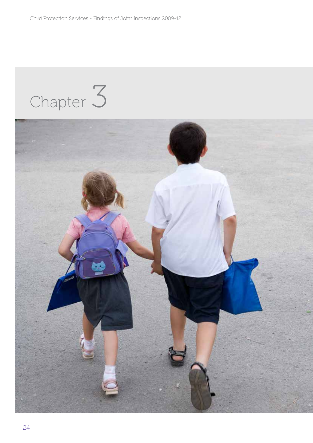# Chapter 3

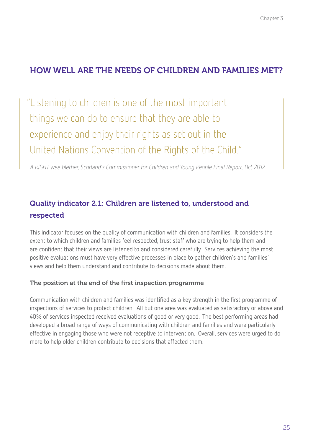## HOW WELL ARE THE NEEDS OF CHILDREN AND FAMILIES MET?

"Listening to children is one of the most important things we can do to ensure that they are able to experience and enjoy their rights as set out in the United Nations Convention of the Rights of the Child."

A RIGHT wee blether, Scotland's Commissioner for Children and Young People Final Report, Oct 2012

## Quality indicator 2.1: Children are listened to, understood and respected

This indicator focuses on the quality of communication with children and families. It considers the extent to which children and families feel respected, trust staff who are trying to help them and are confident that their views are listened to and considered carefully. Services achieving the most positive evaluations must have very effective processes in place to gather children's and families' views and help them understand and contribute to decisions made about them.

#### The position at the end of the first inspection programme

Communication with children and families was identified as a key strength in the first programme of inspections of services to protect children. All but one area was evaluated as satisfactory or above and 40% of services inspected received evaluations of good or very good. The best performing areas had developed a broad range of ways of communicating with children and families and were particularly effective in engaging those who were not receptive to intervention. Overall, services were urged to do more to help older children contribute to decisions that affected them.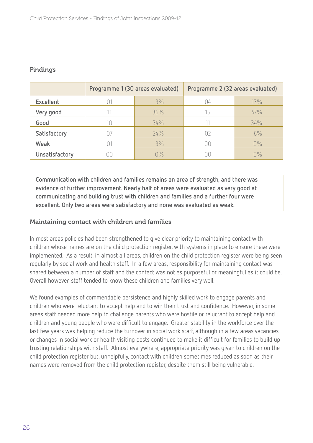|                | Programme 1 (30 areas evaluated) |     | Programme 2 (32 areas evaluated) |       |
|----------------|----------------------------------|-----|----------------------------------|-------|
| Excellent      |                                  | 3%  | Ω4                               | 13%   |
| Very good      |                                  | 36% | 15                               | 47%   |
| Good           |                                  | 34% |                                  | 34%   |
| Satisfactory   |                                  | 24% | Π7                               | 6%    |
| Weak           |                                  | 3%  | ΩC                               | $0\%$ |
| Unsatisfactory |                                  | N%  |                                  | 7%    |

#### Findings

**Communication with children and families remains an area of strength, and there was evidence of further improvement. Nearly half of areas were evaluated as very good at communicating and building trust with children and families and a further four were excellent. Only two areas were satisfactory and none was evaluated as weak.** 

#### Maintaining contact with children and families

In most areas policies had been strengthened to give clear priority to maintaining contact with children whose names are on the child protection register, with systems in place to ensure these were implemented. As a result, in almost all areas, children on the child protection register were being seen regularly by social work and health staff. In a few areas, responsibility for maintaining contact was shared between a number of staff and the contact was not as purposeful or meaningful as it could be. Overall however, staff tended to know these children and families very well.

We found examples of commendable persistence and highly skilled work to engage parents and children who were reluctant to accept help and to win their trust and confidence. However, in some areas staff needed more help to challenge parents who were hostile or reluctant to accept help and children and young people who were difficult to engage. Greater stability in the workforce over the last few years was helping reduce the turnover in social work staff, although in a few areas vacancies or changes in social work or health visiting posts continued to make it difficult for families to build up trusting relationships with staff. Almost everywhere, appropriate priority was given to children on the child protection register but, unhelpfully, contact with children sometimes reduced as soon as their names were removed from the child protection register, despite them still being vulnerable.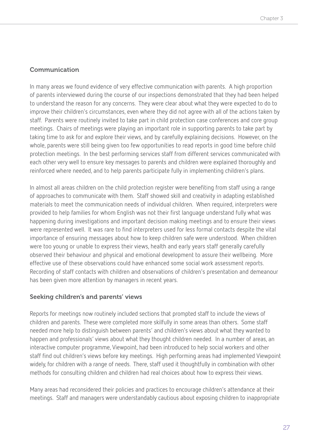#### Communication

In many areas we found evidence of very effective communication with parents. A high proportion of parents interviewed during the course of our inspections demonstrated that they had been helped to understand the reason for any concerns. They were clear about what they were expected to do to improve their children's circumstances, even where they did not agree with all of the actions taken by staff. Parents were routinely invited to take part in child protection case conferences and core group meetings. Chairs of meetings were playing an important role in supporting parents to take part by taking time to ask for and explore their views, and by carefully explaining decisions. However, on the whole, parents were still being given too few opportunities to read reports in good time before child protection meetings. In the best performing services staff from different services communicated with each other very well to ensure key messages to parents and children were explained thoroughly and reinforced where needed, and to help parents participate fully in implementing children's plans.

In almost all areas children on the child protection register were benefiting from staff using a range of approaches to communicate with them. Staff showed skill and creativity in adapting established materials to meet the communication needs of individual children. When required, interpreters were provided to help families for whom English was not their first language understand fully what was happening during investigations and important decision making meetings and to ensure their views were represented well. It was rare to find interpreters used for less formal contacts despite the vital importance of ensuring messages about how to keep children safe were understood. When children were too young or unable to express their views, health and early years staff generally carefully observed their behaviour and physical and emotional development to assure their wellbeing. More effective use of these observations could have enhanced some social work assessment reports. Recording of staff contacts with children and observations of children's presentation and demeanour has been given more attention by managers in recent years.

#### Seeking children's and parents' views

Reports for meetings now routinely included sections that prompted staff to include the views of children and parents. These were completed more skilfully in some areas than others. Some staff needed more help to distinguish between parents' and children's views about what they wanted to happen and professionals' views about what they thought children needed. In a number of areas, an interactive computer programme, Viewpoint, had been introduced to help social workers and other staff find out children's views before key meetings. High performing areas had implemented Viewpoint widely, for children with a range of needs. There, staff used it thoughtfully in combination with other methods for consulting children and children had real choices about how to express their views.

Many areas had reconsidered their policies and practices to encourage children's attendance at their meetings. Staff and managers were understandably cautious about exposing children to inappropriate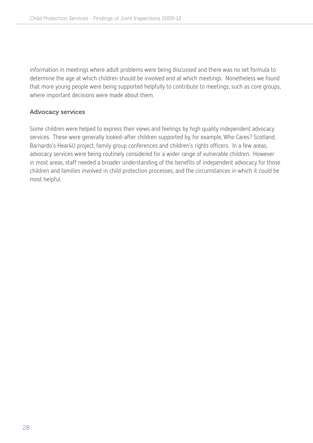information in meetings where adult problems were being discussed and there was no set formula to determine the age at which children should be involved and at which meetings. Nonetheless we found that more young people were being supported helpfully to contribute to meetings, such as core groups, where important decisions were made about them.

#### Advocacy services

Some children were helped to express their views and feelings by high quality independent advocacy services. These were generally looked-after children supported by, for example, Who Cares? Scotland, Barnardo's Hear4U project, family group conferences and children's rights officers. In a few areas, advocacy services were being routinely considered for a wider range of vulnerable children. However in most areas, staff needed a broader understanding of the benefits of independent advocacy for those children and families involved in child protection processes, and the circumstances in which it could be most helpful.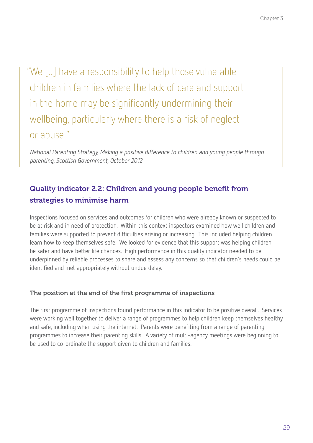"We [..] have a responsibility to help those vulnerable children in families where the lack of care and support in the home may be significantly undermining their wellbeing, particularly where there is a risk of neglect or abuse."

National Parenting Strategy, Making a positive difference to children and young people through parenting, Scottish Government, October 2012

## Quality indicator 2.2: Children and young people benefit from strategies to minimise harm

Inspections focused on services and outcomes for children who were already known or suspected to be at risk and in need of protection. Within this context inspectors examined how well children and families were supported to prevent difficulties arising or increasing. This included helping children learn how to keep themselves safe. We looked for evidence that this support was helping children be safer and have better life chances. High performance in this quality indicator needed to be underpinned by reliable processes to share and assess any concerns so that children's needs could be identified and met appropriately without undue delay.

#### The position at the end of the first programme of inspections

The first programme of inspections found performance in this indicator to be positive overall. Services were working well together to deliver a range of programmes to help children keep themselves healthy and safe, including when using the internet. Parents were benefiting from a range of parenting programmes to increase their parenting skills. A variety of multi-agency meetings were beginning to be used to co-ordinate the support given to children and families.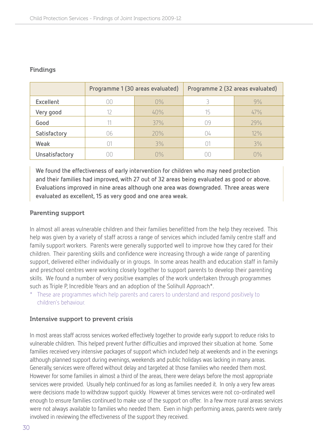#### Findings

|                | Programme 1 (30 areas evaluated) |                      | Programme 2 (32 areas evaluated) |     |
|----------------|----------------------------------|----------------------|----------------------------------|-----|
| Excellent      | NΟ                               | $0\%$                |                                  | 9%  |
| Very good      |                                  | 40%                  | 15                               | 47% |
| Good           |                                  | 37%                  | 09                               | 29% |
| Satisfactory   | 76                               | 20%                  | 14                               | 12% |
| Weak           |                                  | 3%                   |                                  | 3%  |
| Unsatisfactory |                                  | $\bigcap\frac{O}{D}$ | $\mathbb{H}$                     | ∩%  |

**We found the effectiveness of early intervention for children who may need protection and their families had improved, with 27 out of 32 areas being evaluated as good or above. Evaluations improved in nine areas although one area was downgraded. Three areas were evaluated as excellent, 15 as very good and one area weak.** 

#### Parenting support

In almost all areas vulnerable children and their families benefitted from the help they received. This help was given by a variety of staff across a range of services which included family centre staff and family support workers. Parents were generally supported well to improve how they cared for their children. Their parenting skills and confidence were increasing through a wide range of parenting support, delivered either individually or in groups. In some areas health and education staff in family and preschool centres were working closely together to support parents to develop their parenting skills. We found a number of very positive examples of the work undertaken through programmes such as Triple P, Incredible Years and an adoption of the Solihull Approach\*.

These are programmes which help parents and carers to understand and respond positively to children's behaviour.

#### Intensive support to prevent crisis

In most areas staff across services worked effectively together to provide early support to reduce risks to vulnerable children. This helped prevent further difficulties and improved their situation at home. Some families received very intensive packages of support which included help at weekends and in the evenings although planned support during evenings, weekends and public holidays was lacking in many areas. Generally, services were offered without delay and targeted at those families who needed them most. However for some families in almost a third of the areas, there were delays before the most appropriate services were provided. Usually help continued for as long as families needed it. In only a very few areas were decisions made to withdraw support quickly. However at times services were not co-ordinated well enough to ensure families continued to make use of the support on offer. In a few more rural areas services were not always available to families who needed them. Even in high performing areas, parents were rarely involved in reviewing the effectiveness of the support they received.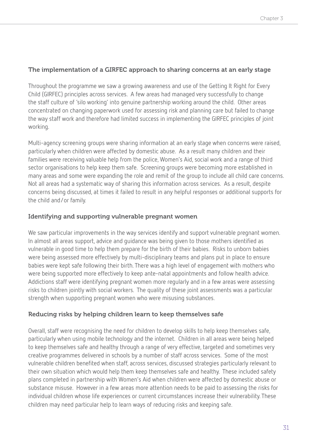#### The implementation of a GIRFEC approach to sharing concerns at an early stage

Throughout the programme we saw a growing awareness and use of the Getting It Right for Every Child (GIRFEC) principles across services. A few areas had managed very successfully to change the staff culture of 'silo working' into genuine partnership working around the child. Other areas concentrated on changing paperwork used for assessing risk and planning care but failed to change the way staff work and therefore had limited success in implementing the GIRFEC principles of joint working.

Multi-agency screening groups were sharing information at an early stage when concerns were raised, particularly when children were affected by domestic abuse. As a result many children and their families were receiving valuable help from the police, Women's Aid, social work and a range of third sector organisations to help keep them safe. Screening groups were becoming more established in many areas and some were expanding the role and remit of the group to include all child care concerns. Not all areas had a systematic way of sharing this information across services. As a result, despite concerns being discussed, at times it failed to result in any helpful responses or additional supports for the child and/or family.

#### Identifying and supporting vulnerable pregnant women

We saw particular improvements in the way services identify and support vulnerable pregnant women. In almost all areas support, advice and guidance was being given to those mothers identified as vulnerable in good time to help them prepare for the birth of their babies. Risks to unborn babies were being assessed more effectively by multi-disciplinary teams and plans put in place to ensure babies were kept safe following their birth. There was a high level of engagement with mothers who were being supported more effectively to keep ante-natal appointments and follow health advice. Addictions staff were identifying pregnant women more regularly and in a few areas were assessing risks to children jointly with social workers. The quality of these joint assessments was a particular strength when supporting pregnant women who were misusing substances.

#### Reducing risks by helping children learn to keep themselves safe

Overall, staff were recognising the need for children to develop skills to help keep themselves safe, particularly when using mobile technology and the internet. Children in all areas were being helped to keep themselves safe and healthy through a range of very effective, targeted and sometimes very creative programmes delivered in schools by a number of staff across services. Some of the most vulnerable children benefited when staff, across services, discussed strategies particularly relevant to their own situation which would help them keep themselves safe and healthy. These included safety plans completed in partnership with Women's Aid when children were affected by domestic abuse or substance misuse. However in a few areas more attention needs to be paid to assessing the risks for individual children whose life experiences or current circumstances increase their vulnerability. These children may need particular help to learn ways of reducing risks and keeping safe.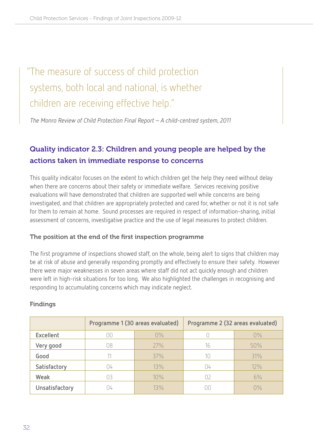# "The measure of success of child protection systems, both local and national, is whether children are receiving effective help."

The Monro Review of Child Protection Final Report – A child-centred system, 2011

## Quality indicator 2.3: Children and young people are helped by the actions taken in immediate response to concerns

This quality indicator focuses on the extent to which children get the help they need without delay when there are concerns about their safety or immediate welfare. Services receiving positive evaluations will have demonstrated that children are supported well while concerns are being investigated, and that children are appropriately protected and cared for, whether or not it is not safe for them to remain at home. Sound processes are required in respect of information-sharing, initial assessment of concerns, investigative practice and the use of legal measures to protect children.

#### The position at the end of the first inspection programme

The first programme of inspections showed staff, on the whole, being alert to signs that children may be at risk of abuse and generally responding promptly and effectively to ensure their safety. However there were major weaknesses in seven areas where staff did not act quickly enough and children were left in high-risk situations for too long. We also highlighted the challenges in recognising and responding to accumulating concerns which may indicate neglect.

|                  | Programme 1 (30 areas evaluated) |       | Programme 2 (32 areas evaluated) |                      |
|------------------|----------------------------------|-------|----------------------------------|----------------------|
| <b>Excellent</b> | OΟ                               | $0\%$ |                                  | $0\%$                |
| Very good        | 08                               | 27%   | 16                               | 50%                  |
| Good             |                                  | 37%   | 10                               | 31%                  |
| Satisfactory     | $\frac{1}{4}$                    | 13%   | 14                               | $12\%$               |
| Weak             | 03                               | 10%   | $\Box$                           | 6%                   |
| Unsatisfactory   | $\frac{1}{4}$                    | 13%   |                                  | $\bigcap\frac{O}{D}$ |

#### Findings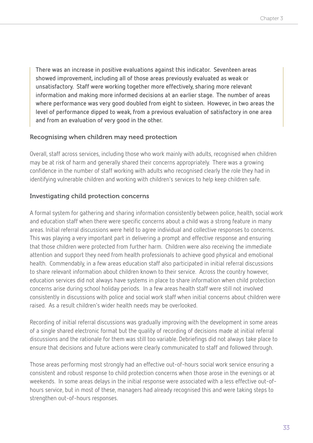**There was an increase in positive evaluations against this indicator. Seventeen areas showed improvement, including all of those areas previously evaluated as weak or unsatisfactory. Staff were working together more effectively, sharing more relevant information and making more informed decisions at an earlier stage. The number of areas where performance was very good doubled from eight to sixteen. However, in two areas the level of performance dipped to weak, from a previous evaluation of satisfactory in one area and from an evaluation of very good in the other.** 

#### Recognising when children may need protection

Overall, staff across services, including those who work mainly with adults, recognised when children may be at risk of harm and generally shared their concerns appropriately. There was a growing confidence in the number of staff working with adults who recognised clearly the role they had in identifying vulnerable children and working with children's services to help keep children safe.

#### Investigating child protection concerns

A formal system for gathering and sharing information consistently between police, health, social work and education staff when there were specific concerns about a child was a strong feature in many areas. Initial referral discussions were held to agree individual and collective responses to concerns. This was playing a very important part in delivering a prompt and effective response and ensuring that those children were protected from further harm. Children were also receiving the immediate attention and support they need from health professionals to achieve good physical and emotional health. Commendably, in a few areas education staff also participated in initial referral discussions to share relevant information about children known to their service. Across the country however, education services did not always have systems in place to share information when child protection concerns arise during school holiday periods. In a few areas health staff were still not involved consistently in discussions with police and social work staff when initial concerns about children were raised. As a result children's wider health needs may be overlooked.

Recording of initial referral discussions was gradually improving with the development in some areas of a single shared electronic format but the quality of recording of decisions made at initial referral discussions and the rationale for them was still too variable. Debriefings did not always take place to ensure that decisions and future actions were clearly communicated to staff and followed through.

Those areas performing most strongly had an effective out-of-hours social work service ensuring a consistent and robust response to child protection concerns when those arose in the evenings or at weekends. In some areas delays in the initial response were associated with a less effective out-ofhours service, but in most of these, managers had already recognised this and were taking steps to strengthen out-of-hours responses.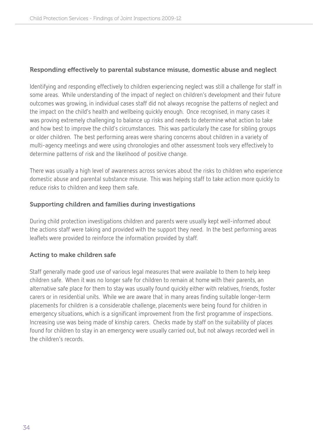#### Responding effectively to parental substance misuse, domestic abuse and neglect

Identifying and responding effectively to children experiencing neglect was still a challenge for staff in some areas. While understanding of the impact of neglect on children's development and their future outcomes was growing, in individual cases staff did not always recognise the patterns of neglect and the impact on the child's health and wellbeing quickly enough. Once recognised, in many cases it was proving extremely challenging to balance up risks and needs to determine what action to take and how best to improve the child's circumstances. This was particularly the case for sibling groups or older children. The best performing areas were sharing concerns about children in a variety of multi-agency meetings and were using chronologies and other assessment tools very effectively to determine patterns of risk and the likelihood of positive change.

There was usually a high level of awareness across services about the risks to children who experience domestic abuse and parental substance misuse. This was helping staff to take action more quickly to reduce risks to children and keep them safe.

#### Supporting children and families during investigations

During child protection investigations children and parents were usually kept well-informed about the actions staff were taking and provided with the support they need. In the best performing areas leaflets were provided to reinforce the information provided by staff.

#### Acting to make children safe

Staff generally made good use of various legal measures that were available to them to help keep children safe. When it was no longer safe for children to remain at home with their parents, an alternative safe place for them to stay was usually found quickly either with relatives, friends, foster carers or in residential units. While we are aware that in many areas finding suitable longer-term placements for children is a considerable challenge, placements were being found for children in emergency situations, which is a significant improvement from the first programme of inspections. Increasing use was being made of kinship carers. Checks made by staff on the suitability of places found for children to stay in an emergency were usually carried out, but not always recorded well in the children's records.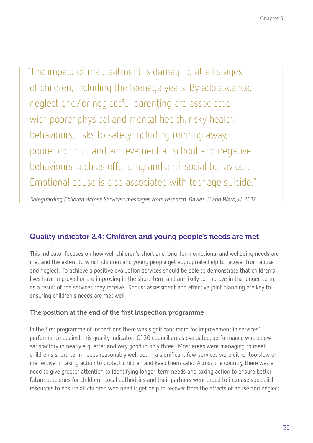"The impact of maltreatment is damaging at all stages of children, including the teenage years. By adolescence, neglect and/or neglectful parenting are associated with poorer physical and mental health, risky health behaviours, risks to safety including running away, poorer conduct and achievement at school and negative behaviours such as offending and anti-social behaviour. Emotional abuse is also associated with teenage suicide."

Safeguarding Children Across Services: messages from research. Davies, C and Ward, H, 2012

### Quality indicator 2.4: Children and young people's needs are met

This indicator focuses on how well children's short and long-term emotional and wellbeing needs are met and the extent to which children and young people get appropriate help to recover from abuse and neglect. To achieve a positive evaluation services should be able to demonstrate that children's lives have improved or are improving in the short-term and are likely to improve in the longer-term, as a result of the services they receive. Robust assessment and effective joint planning are key to ensuring children's needs are met well.

#### The position at the end of the first inspection programme

In the first programme of inspections there was significant room for improvement in services' performance against this quality indicator. Of 30 council areas evaluated, performance was below satisfactory in nearly a quarter and very good in only three. Most areas were managing to meet children's short-term needs reasonably well but in a significant few, services were either too slow or ineffective in taking action to protect children and keep them safe. Across the country, there was a need to give greater attention to identifying longer-term needs and taking action to ensure better future outcomes for children. Local authorities and their partners were urged to increase specialist resources to ensure all children who need it get help to recover from the effects of abuse and neglect.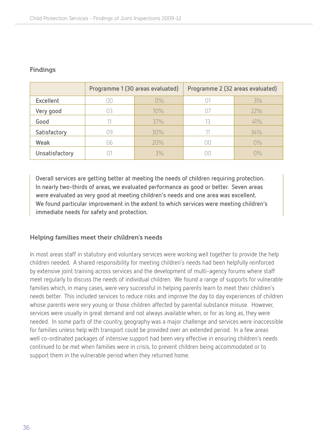|                | Programme 1 (30 areas evaluated) |       | Programme 2 (32 areas evaluated) |                           |
|----------------|----------------------------------|-------|----------------------------------|---------------------------|
| Excellent      | DО                               | $0\%$ |                                  | 3%                        |
| Very good      |                                  | 10%   | $\Box$                           | 22%                       |
| Good           |                                  | 37%   |                                  | 41%                       |
| Satisfactory   | ገዓ                               | 30%   |                                  | 34%                       |
| <b>Weak</b>    | 06                               | 20%   | Πſ                               | $0\%$                     |
| Unsatisfactory |                                  | 3%    |                                  | $\bigcap\mathcal{O}_\cap$ |

#### Findings

**Overall services are getting better at meeting the needs of children requiring protection. In nearly two-thirds of areas, we evaluated performance as good or better. Seven areas were evaluated as very good at meeting children's needs and one area was excellent. We found particular improvement in the extent to which services were meeting children's immediate needs for safety and protection.** 

#### Helping families meet their children's needs

In most areas staff in statutory and voluntary services were working well together to provide the help children needed. A shared responsibility for meeting children's needs had been helpfully reinforced by extensive joint training across services and the development of multi-agency forums where staff meet regularly to discuss the needs of individual children. We found a range of supports for vulnerable families which, in many cases, were very successful in helping parents learn to meet their children's needs better. This included services to reduce risks and improve the day to day experiences of children whose parents were very young or those children affected by parental substance misuse. However, services were usually in great demand and not always available when, or for as long as, they were needed. In some parts of the country, geography was a major challenge and services were inaccessible for families unless help with transport could be provided over an extended period. In a few areas well co-ordinated packages of intensive support had been very effective in ensuring children's needs continued to be met when families were in crisis, to prevent children being accommodated or to support them in the vulnerable period when they returned home.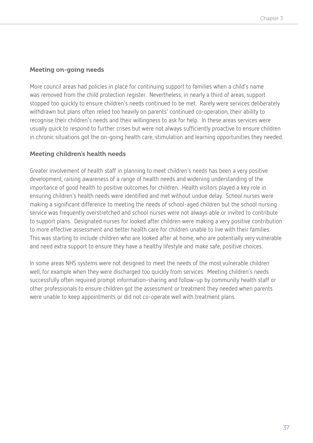#### Meeting on-going needs

More council areas had policies in place for continuing support to families when a child's name was removed from the child protection register. Nevertheless, in nearly a third of areas, support stopped too quickly to ensure children's needs continued to be met. Rarely were services deliberately withdrawn but plans often relied too heavily on parents' continued co-operation, their ability to recognise their children's needs and their willingness to ask for help. In these areas services were usually quick to respond to further crises but were not always sufficiently proactive to ensure children in chronic situations got the on-going health care, stimulation and learning opportunities they needed.

# Meeting children's health needs

Greater involvement of health staff in planning to meet children's needs has been a very positive development, raising awareness of a range of health needs and widening understanding of the importance of good health to positive outcomes for children. Health visitors played a key role in ensuring children's health needs were identified and met without undue delay. School nurses were making a significant difference to meeting the needs of school-aged children but the school nursing service was frequently overstretched and school nurses were not always able or invited to contribute to support plans. Designated nurses for looked after children were making a very positive contribution to more effective assessment and better health care for children unable to live with their families. This was starting to include children who are looked after at home, who are potentially very vulnerable and need extra support to ensure they have a healthy lifestyle and make safe, positive choices.

In some areas NHS systems were not designed to meet the needs of the most vulnerable children well, for example when they were discharged too quickly from services. Meeting children's needs successfully often required prompt information-sharing and follow-up by community health staff or other professionals to ensure children got the assessment or treatment they needed when parents were unable to keep appointments or did not co-operate well with treatment plans.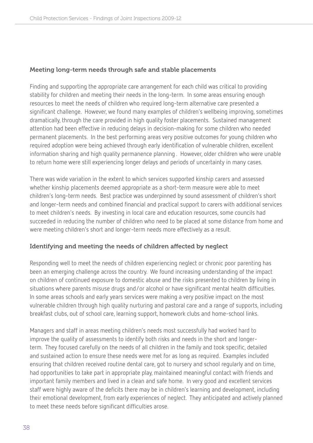#### Meeting long-term needs through safe and stable placements

Finding and supporting the appropriate care arrangement for each child was critical to providing stability for children and meeting their needs in the long-term. In some areas ensuring enough resources to meet the needs of children who required long-term alternative care presented a significant challenge. However, we found many examples of children's wellbeing improving, sometimes dramatically, through the care provided in high quality foster placements. Sustained management attention had been effective in reducing delays in decision-making for some children who needed permanent placements. In the best performing areas very positive outcomes for young children who required adoption were being achieved through early identification of vulnerable children, excellent information sharing and high quality permanence planning . However, older children who were unable to return home were still experiencing longer delays and periods of uncertainty in many cases.

There was wide variation in the extent to which services supported kinship carers and assessed whether kinship placements deemed appropriate as a short-term measure were able to meet children's long-term needs. Best practice was underpinned by sound assessment of children's short and longer-term needs and combined financial and practical support to carers with additional services to meet children's needs. By investing in local care and education resources, some councils had succeeded in reducing the number of children who need to be placed at some distance from home and were meeting children's short and longer-term needs more effectively as a result.

# Identifying and meeting the needs of children affected by neglect

Responding well to meet the needs of children experiencing neglect or chronic poor parenting has been an emerging challenge across the country. We found increasing understanding of the impact on children of continued exposure to domestic abuse and the risks presented to children by living in situations where parents misuse drugs and/or alcohol or have significant mental health difficulties. In some areas schools and early years services were making a very positive impact on the most vulnerable children through high quality nurturing and pastoral care and a range of supports, including breakfast clubs, out of school care, learning support, homework clubs and home-school links.

Managers and staff in areas meeting children's needs most successfully had worked hard to improve the quality of assessments to identify both risks and needs in the short and longerterm. They focused carefully on the needs of all children in the family and took specific, detailed and sustained action to ensure these needs were met for as long as required. Examples included ensuring that children received routine dental care, got to nursery and school regularly and on time, had opportunities to take part in appropriate play, maintained meaningful contact with friends and important family members and lived in a clean and safe home. In very good and excellent services staff were highly aware of the deficits there may be in children's learning and development, including their emotional development, from early experiences of neglect. They anticipated and actively planned to meet these needs before significant difficulties arose.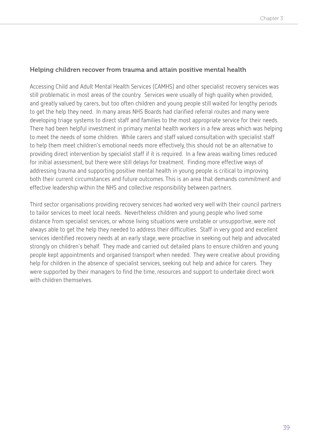#### Helping children recover from trauma and attain positive mental health

Accessing Child and Adult Mental Health Services (CAMHS) and other specialist recovery services was still problematic in most areas of the country. Services were usually of high quality when provided, and greatly valued by carers, but too often children and young people still waited for lengthy periods to get the help they need. In many areas NHS Boards had clarified referral routes and many were developing triage systems to direct staff and families to the most appropriate service for their needs. There had been helpful investment in primary mental health workers in a few areas which was helping to meet the needs of some children. While carers and staff valued consultation with specialist staff to help them meet children's emotional needs more effectively, this should not be an alternative to providing direct intervention by specialist staff if it is required. In a few areas waiting times reduced for initial assessment, but there were still delays for treatment. Finding more effective ways of addressing trauma and supporting positive mental health in young people is critical to improving both their current circumstances and future outcomes. This is an area that demands commitment and effective leadership within the NHS and collective responsibility between partners.

Third sector organisations providing recovery services had worked very well with their council partners to tailor services to meet local needs. Nevertheless children and young people who lived some distance from specialist services, or whose living situations were unstable or unsupportive, were not always able to get the help they needed to address their difficulties. Staff in very good and excellent services identified recovery needs at an early stage, were proactive in seeking out help and advocated strongly on children's behalf. They made and carried out detailed plans to ensure children and young people kept appointments and organised transport when needed. They were creative about providing help for children in the absence of specialist services, seeking out help and advice for carers. They were supported by their managers to find the time, resources and support to undertake direct work with children themselves.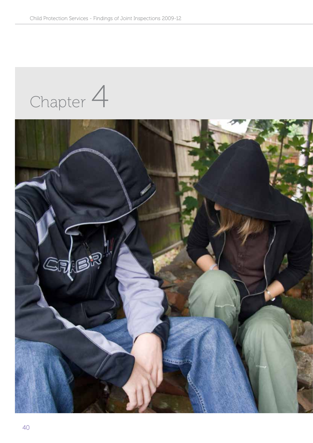Chapter 4

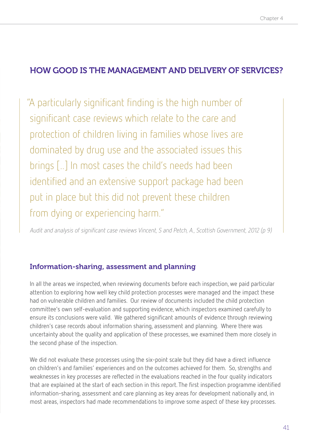# HOW GOOD IS THE MANAGEMENT AND DELIVERY OF SERVICES?

"A particularly significant finding is the high number of significant case reviews which relate to the care and protection of children living in families whose lives are dominated by drug use and the associated issues this brings [..] In most cases the child's needs had been identified and an extensive support package had been put in place but this did not prevent these children from dying or experiencing harm."

Audit and analysis of significant case reviews Vincent, S and Petch, A., Scottish Government, 2012 (p 9)

# Information-sharing, assessment and planning

In all the areas we inspected, when reviewing documents before each inspection, we paid particular attention to exploring how well key child protection processes were managed and the impact these had on vulnerable children and families. Our review of documents included the child protection committee's own self-evaluation and supporting evidence, which inspectors examined carefully to ensure its conclusions were valid. We gathered significant amounts of evidence through reviewing children's case records about information sharing, assessment and planning. Where there was uncertainty about the quality and application of these processes, we examined them more closely in the second phase of the inspection.

We did not evaluate these processes using the six-point scale but they did have a direct influence on children's and families' experiences and on the outcomes achieved for them. So, strengths and weaknesses in key processes are reflected in the evaluations reached in the four quality indicators that are explained at the start of each section in this report. The first inspection programme identified information-sharing, assessment and care planning as key areas for development nationally and, in most areas, inspectors had made recommendations to improve some aspect of these key processes.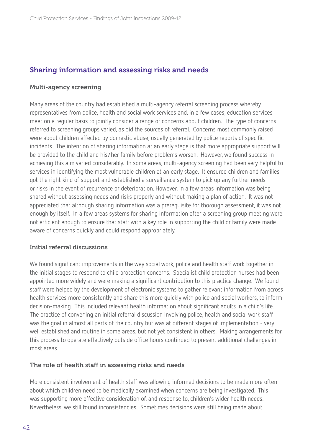# Sharing information and assessing risks and needs

#### Multi-agency screening

Many areas of the country had established a multi-agency referral screening process whereby representatives from police, health and social work services and, in a few cases, education services meet on a regular basis to jointly consider a range of concerns about children. The type of concerns referred to screening groups varied, as did the sources of referral. Concerns most commonly raised were about children affected by domestic abuse, usually generated by police reports of specific incidents. The intention of sharing information at an early stage is that more appropriate support will be provided to the child and his/her family before problems worsen. However, we found success in achieving this aim varied considerably. In some areas, multi-agency screening had been very helpful to services in identifying the most vulnerable children at an early stage. It ensured children and families got the right kind of support and established a surveillance system to pick up any further needs or risks in the event of recurrence or deterioration. However, in a few areas information was being shared without assessing needs and risks properly and without making a plan of action. It was not appreciated that although sharing information was a prerequisite for thorough assessment, it was not enough by itself. In a few areas systems for sharing information after a screening group meeting were not efficient enough to ensure that staff with a key role in supporting the child or family were made aware of concerns quickly and could respond appropriately.

# Initial referral discussions

We found significant improvements in the way social work, police and health staff work together in the initial stages to respond to child protection concerns. Specialist child protection nurses had been appointed more widely and were making a significant contribution to this practice change. We found staff were helped by the development of electronic systems to gather relevant information from across health services more consistently and share this more quickly with police and social workers, to inform decision-making. This included relevant health information about significant adults in a child's life. The practice of convening an initial referral discussion involving police, health and social work staff was the goal in almost all parts of the country but was at different stages of implementation - very well established and routine in some areas, but not yet consistent in others. Making arrangements for this process to operate effectively outside office hours continued to present additional challenges in most areas.

#### The role of health staff in assessing risks and needs

More consistent involvement of health staff was allowing informed decisions to be made more often about which children need to be medically examined when concerns are being investigated. This was supporting more effective consideration of, and response to, children's wider health needs. Nevertheless, we still found inconsistencies. Sometimes decisions were still being made about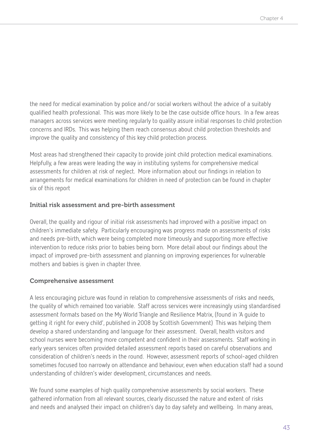the need for medical examination by police and/or social workers without the advice of a suitably qualified health professional. This was more likely to be the case outside office hours. In a few areas managers across services were meeting regularly to quality assure initial responses to child protection concerns and IRDs. This was helping them reach consensus about child protection thresholds and improve the quality and consistency of this key child protection process.

Most areas had strengthened their capacity to provide joint child protection medical examinations. Helpfully, a few areas were leading the way in instituting systems for comprehensive medical assessments for children at risk of neglect. More information about our findings in relation to arrangements for medical examinations for children in need of protection can be found in chapter six of this report

#### Initial risk assessment and pre-birth assessment

Overall, the quality and rigour of initial risk assessments had improved with a positive impact on children's immediate safety. Particularly encouraging was progress made on assessments of risks and needs pre-birth, which were being completed more timeously and supporting more effective intervention to reduce risks prior to babies being born. More detail about our findings about the impact of improved pre-birth assessment and planning on improving experiences for vulnerable mothers and babies is given in chapter three.

#### Comprehensive assessment

A less encouraging picture was found in relation to comprehensive assessments of risks and needs, the quality of which remained too variable. Staff across services were increasingly using standardised assessment formats based on the My World Triangle and Resilience Matrix, (found in 'A guide to getting it right for every child', published in 2008 by Scottish Government) This was helping them develop a shared understanding and language for their assessment. Overall, health visitors and school nurses were becoming more competent and confident in their assessments. Staff working in early years services often provided detailed assessment reports based on careful observations and consideration of children's needs in the round. However, assessment reports of school-aged children sometimes focused too narrowly on attendance and behaviour, even when education staff had a sound understanding of children's wider development, circumstances and needs.

We found some examples of high quality comprehensive assessments by social workers. These gathered information from all relevant sources, clearly discussed the nature and extent of risks and needs and analysed their impact on children's day to day safety and wellbeing. In many areas,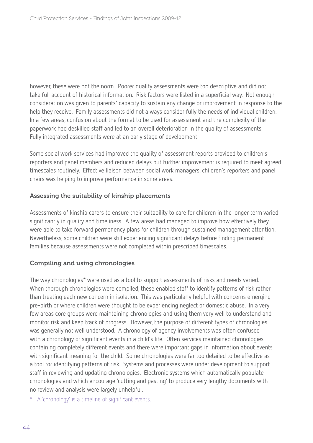however, these were not the norm. Poorer quality assessments were too descriptive and did not take full account of historical information. Risk factors were listed in a superficial way. Not enough consideration was given to parents' capacity to sustain any change or improvement in response to the help they receive. Family assessments did not always consider fully the needs of individual children. In a few areas, confusion about the format to be used for assessment and the complexity of the paperwork had deskilled staff and led to an overall deterioration in the quality of assessments. Fully integrated assessments were at an early stage of development.

Some social work services had improved the quality of assessment reports provided to children's reporters and panel members and reduced delays but further improvement is required to meet agreed timescales routinely. Effective liaison between social work managers, children's reporters and panel chairs was helping to improve performance in some areas.

# Assessing the suitability of kinship placements

Assessments of kinship carers to ensure their suitability to care for children in the longer term varied significantly in quality and timeliness. A few areas had managed to improve how effectively they were able to take forward permanency plans for children through sustained management attention. Nevertheless, some children were still experiencing significant delays before finding permanent families because assessments were not completed within prescribed timescales.

# Compiling and using chronologies

The way chronologies\* were used as a tool to support assessments of risks and needs varied. When thorough chronologies were compiled, these enabled staff to identify patterns of risk rather than treating each new concern in isolation. This was particularly helpful with concerns emerging pre-birth or where children were thought to be experiencing neglect or domestic abuse. In a very few areas core groups were maintaining chronologies and using them very well to understand and monitor risk and keep track of progress. However, the purpose of different types of chronologies was generally not well understood. A chronology of agency involvements was often confused with a chronology of significant events in a child's life. Often services maintained chronologies containing completely different events and there were important gaps in information about events with significant meaning for the child. Some chronologies were far too detailed to be effective as a tool for identifying patterns of risk. Systems and processes were under development to support staff in reviewing and updating chronologies. Electronic systems which automatically populate chronologies and which encourage 'cutting and pasting' to produce very lengthy documents with no review and analysis were largely unhelpful.

\* A 'chronology' is a timeline of significant events.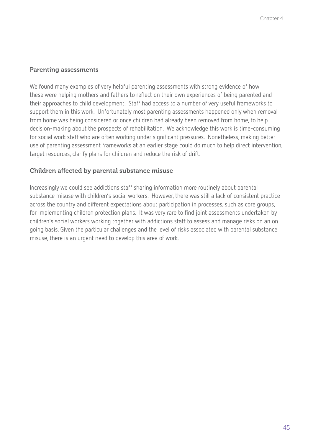#### Parenting assessments

We found many examples of very helpful parenting assessments with strong evidence of how these were helping mothers and fathers to reflect on their own experiences of being parented and their approaches to child development. Staff had access to a number of very useful frameworks to support them in this work. Unfortunately most parenting assessments happened only when removal from home was being considered or once children had already been removed from home, to help decision-making about the prospects of rehabilitation. We acknowledge this work is time-consuming for social work staff who are often working under significant pressures. Nonetheless, making better use of parenting assessment frameworks at an earlier stage could do much to help direct intervention, target resources, clarify plans for children and reduce the risk of drift.

# Children affected by parental substance misuse

Increasingly we could see addictions staff sharing information more routinely about parental substance misuse with children's social workers. However, there was still a lack of consistent practice across the country and different expectations about participation in processes, such as core groups, for implementing children protection plans. It was very rare to find joint assessments undertaken by children's social workers working together with addictions staff to assess and manage risks on an on going basis. Given the particular challenges and the level of risks associated with parental substance misuse, there is an urgent need to develop this area of work.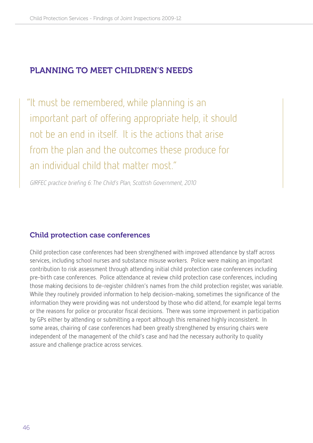# Planning to meet children's needs

"It must be remembered, while planning is an important part of offering appropriate help, it should not be an end in itself. It is the actions that arise from the plan and the outcomes these produce for an individual child that matter most."

GIRFEC practice briefing 6: The Child's Plan, Scottish Government, 2010

# Child protection case conferences

Child protection case conferences had been strengthened with improved attendance by staff across services, including school nurses and substance misuse workers. Police were making an important contribution to risk assessment through attending initial child protection case conferences including pre-birth case conferences. Police attendance at review child protection case conferences, including those making decisions to de-register children's names from the child protection register, was variable. While they routinely provided information to help decision-making, sometimes the significance of the information they were providing was not understood by those who did attend, for example legal terms or the reasons for police or procurator fiscal decisions. There was some improvement in participation by GPs either by attending or submitting a report although this remained highly inconsistent. In some areas, chairing of case conferences had been greatly strengthened by ensuring chairs were independent of the management of the child's case and had the necessary authority to quality assure and challenge practice across services.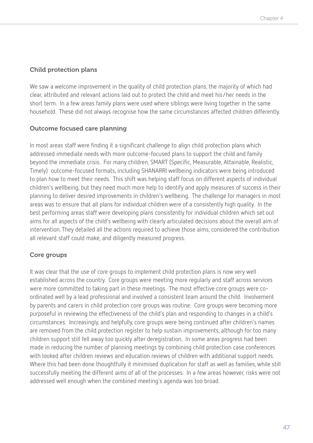# Child protection plans

We saw a welcome improvement in the quality of child protection plans, the majority of which had clear, attributed and relevant actions laid out to protect the child and meet his/her needs in the short term. In a few areas family plans were used where siblings were living together in the same household. These did not always recognise how the same circumstances affected children differently.

# Outcome focused care planning

In most areas staff were finding it a significant challenge to align child protection plans which addressed immediate needs with more outcome-focused plans to support the child and family beyond the immediate crisis. For many children, SMART (Specific, Measurable, Attainable, Realistic, Timely) outcome-focused formats, including SHANARRI wellbeing indicators were being introduced to plan how to meet their needs. This shift was helping staff focus on different aspects of individual children's wellbeing, but they need much more help to identify and apply measures of success in their planning to deliver desired improvements in children's wellbeing. The challenge for managers in most areas was to ensure that all plans for individual children were of a consistently high quality. In the best performing areas staff were developing plans consistently for individual children which set out aims for all aspects of the child's wellbeing with clearly articulated decisions about the overall aim of intervention. They detailed all the actions required to achieve those aims, considered the contribution all relevant staff could make, and diligently measured progress.

# Core groups

It was clear that the use of core groups to implement child protection plans is now very well established across the country. Core groups were meeting more regularly and staff across services were more committed to taking part in these meetings. The most effective core groups were coordinated well by a lead professional and involved a consistent team around the child. Involvement by parents and carers in child protection core groups was routine. Core groups were becoming more purposeful in reviewing the effectiveness of the child's plan and responding to changes in a child's circumstances. Increasingly, and helpfully, core groups were being continued after children's names are removed from the child protection register to help sustain improvements, although for too many children support still fell away too quickly after deregistration. In some areas progress had been made in reducing the number of planning meetings by combining child protection case conferences with looked after children reviews and education reviews of children with additional support needs. Where this had been done thoughtfully it minimised duplication for staff as well as families, while still successfully meeting the different aims of all of the processes. In a few areas however, risks were not addressed well enough when the combined meeting's agenda was too broad.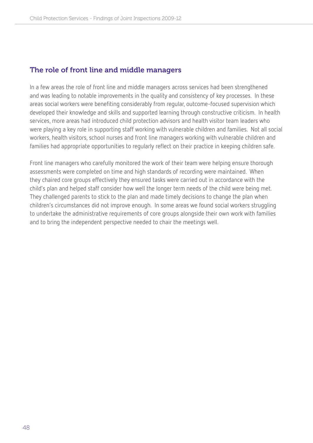# The role of front line and middle managers

In a few areas the role of front line and middle managers across services had been strengthened and was leading to notable improvements in the quality and consistency of key processes. In these areas social workers were benefiting considerably from regular, outcome-focused supervision which developed their knowledge and skills and supported learning through constructive criticism. In health services, more areas had introduced child protection advisors and health visitor team leaders who were playing a key role in supporting staff working with vulnerable children and families. Not all social workers, health visitors, school nurses and front line managers working with vulnerable children and families had appropriate opportunities to regularly reflect on their practice in keeping children safe.

Front line managers who carefully monitored the work of their team were helping ensure thorough assessments were completed on time and high standards of recording were maintained. When they chaired core groups effectively they ensured tasks were carried out in accordance with the child's plan and helped staff consider how well the longer term needs of the child were being met. They challenged parents to stick to the plan and made timely decisions to change the plan when children's circumstances did not improve enough. In some areas we found social workers struggling to undertake the administrative requirements of core groups alongside their own work with families and to bring the independent perspective needed to chair the meetings well.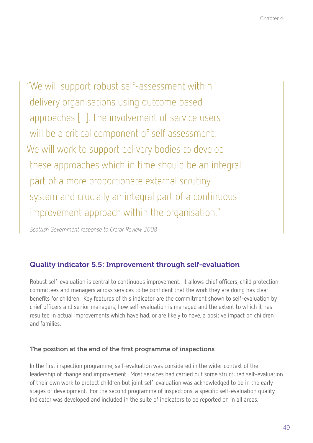"We will support robust self-assessment within delivery organisations using outcome based approaches [..]. The involvement of service users will be a critical component of self assessment. We will work to support delivery bodies to develop these approaches which in time should be an integral part of a more proportionate external scrutiny system and crucially an integral part of a continuous improvement approach within the organisation."

Scottish Government response to Crerar Review, 2008

# Quality indicator 5.5: Improvement through self-evaluation

Robust self-evaluation is central to continuous improvement. It allows chief officers, child protection committees and managers across services to be confident that the work they are doing has clear benefits for children. Key features of this indicator are the commitment shown to self-evaluation by chief officers and senior managers, how self-evaluation is managed and the extent to which it has resulted in actual improvements which have had, or are likely to have, a positive impact on children and families.

# The position at the end of the first programme of inspections

In the first inspection programme, self-evaluation was considered in the wider context of the leadership of change and improvement. Most services had carried out some structured self-evaluation of their own work to protect children but joint self-evaluation was acknowledged to be in the early stages of development. For the second programme of inspections, a specific self-evaluation quality indicator was developed and included in the suite of indicators to be reported on in all areas.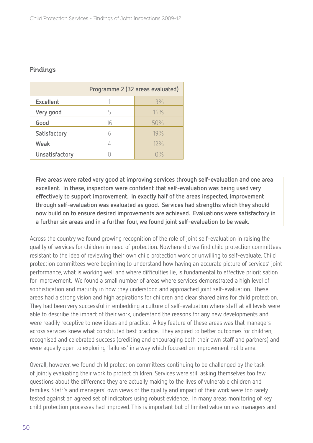# Findings

|                | Programme 2 (32 areas evaluated) |                          |  |
|----------------|----------------------------------|--------------------------|--|
| Excellent      |                                  | 3%                       |  |
| Very good      | 5                                | 16%                      |  |
| Good           | 16                               | 50%                      |  |
| Satisfactory   |                                  | 19%                      |  |
| Weak           |                                  | 12%                      |  |
| Unsatisfactory |                                  | $\bigcap_{n=1}^{\infty}$ |  |

**Five areas were rated very good at improving services through self-evaluation and one area excellent. In these, inspectors were confident that self-evaluation was being used very effectively to support improvement. In exactly half of the areas inspected, improvement through self-evaluation was evaluated as good. Services had strengths which they should now build on to ensure desired improvements are achieved. Evaluations were satisfactory in a further six areas and in a further four, we found joint self-evaluation to be weak.**

Across the country we found growing recognition of the role of joint self-evaluation in raising the quality of services for children in need of protection. Nowhere did we find child protection committees resistant to the idea of reviewing their own child protection work or unwilling to self-evaluate. Child protection committees were beginning to understand how having an accurate picture of services' joint performance, what is working well and where difficulties lie, is fundamental to effective prioritisation for improvement. We found a small number of areas where services demonstrated a high level of sophistication and maturity in how they understood and approached joint self-evaluation. These areas had a strong vision and high aspirations for children and clear shared aims for child protection. They had been very successful in embedding a culture of self-evaluation where staff at all levels were able to describe the impact of their work, understand the reasons for any new developments and were readily receptive to new ideas and practice. A key feature of these areas was that managers across services knew what constituted best practice. They aspired to better outcomes for children, recognised and celebrated success (crediting and encouraging both their own staff and partners) and were equally open to exploring 'failures' in a way which focused on improvement not blame.

Overall, however, we found child protection committees continuing to be challenged by the task of jointly evaluating their work to protect children. Services were still asking themselves too few questions about the difference they are actually making to the lives of vulnerable children and families. Staff's and managers' own views of the quality and impact of their work were too rarely tested against an agreed set of indicators using robust evidence. In many areas monitoring of key child protection processes had improved. This is important but of limited value unless managers and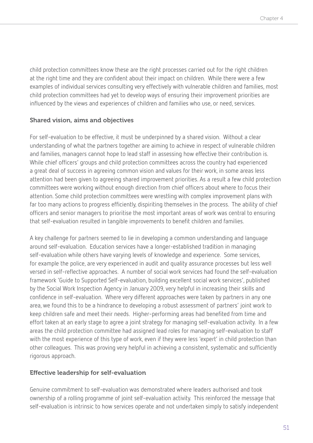child protection committees know these are the right processes carried out for the right children at the right time and they are confident about their impact on children. While there were a few examples of individual services consulting very effectively with vulnerable children and families, most child protection committees had yet to develop ways of ensuring their improvement priorities are influenced by the views and experiences of children and families who use, or need, services.

# Shared vision, aims and objectives

For self-evaluation to be effective, it must be underpinned by a shared vision. Without a clear understanding of what the partners together are aiming to achieve in respect of vulnerable children and families, managers cannot hope to lead staff in assessing how effective their contribution is. While chief officers' groups and child protection committees across the country had experienced a great deal of success in agreeing common vision and values for their work, in some areas less attention had been given to agreeing shared improvement priorities. As a result a few child protection committees were working without enough direction from chief officers about where to focus their attention. Some child protection committees were wrestling with complex improvement plans with far too many actions to progress efficiently, dispiriting themselves in the process. The ability of chief officers and senior managers to prioritise the most important areas of work was central to ensuring that self-evaluation resulted in tangible improvements to benefit children and families.

A key challenge for partners seemed to lie in developing a common understanding and language around self-evaluation. Education services have a longer-established tradition in managing self-evaluation while others have varying levels of knowledge and experience. Some services, for example the police, are very experienced in audit and quality assurance processes but less well versed in self-reflective approaches. A number of social work services had found the self-evaluation framework 'Guide to Supported Self-evaluation, building excellent social work services', published by the Social Work Inspection Agency in January 2009, very helpful in increasing their skills and confidence in self-evaluation. Where very different approaches were taken by partners in any one area, we found this to be a hindrance to developing a robust assessment of partners' joint work to keep children safe and meet their needs. Higher-performing areas had benefited from time and effort taken at an early stage to agree a joint strategy for managing self-evaluation activity. In a few areas the child protection committee had assigned lead roles for managing self-evaluation to staff with the most experience of this type of work, even if they were less 'expert' in child protection than other colleagues. This was proving very helpful in achieving a consistent, systematic and sufficiently rigorous approach.

# Effective leadership for self-evaluation

Genuine commitment to self-evaluation was demonstrated where leaders authorised and took ownership of a rolling programme of joint self-evaluation activity. This reinforced the message that self-evaluation is intrinsic to how services operate and not undertaken simply to satisfy independent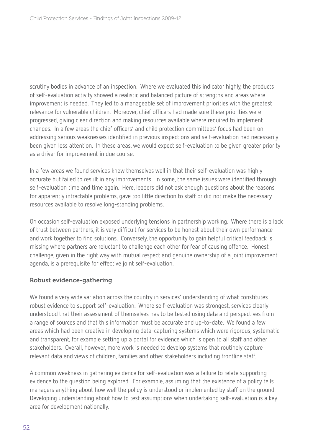scrutiny bodies in advance of an inspection. Where we evaluated this indicator highly, the products of self-evaluation activity showed a realistic and balanced picture of strengths and areas where improvement is needed. They led to a manageable set of improvement priorities with the greatest relevance for vulnerable children. Moreover, chief officers had made sure these priorities were progressed, giving clear direction and making resources available where required to implement changes. In a few areas the chief officers' and child protection committees' focus had been on addressing serious weaknesses identified in previous inspections and self-evaluation had necessarily been given less attention. In these areas, we would expect self-evaluation to be given greater priority as a driver for improvement in due course.

In a few areas we found services knew themselves well in that their self-evaluation was highly accurate but failed to result in any improvements. In some, the same issues were identified through self-evaluation time and time again. Here, leaders did not ask enough questions about the reasons for apparently intractable problems, gave too little direction to staff or did not make the necessary resources available to resolve long-standing problems.

On occasion self-evaluation exposed underlying tensions in partnership working. Where there is a lack of trust between partners, it is very difficult for services to be honest about their own performance and work together to find solutions. Conversely, the opportunity to gain helpful critical feedback is missing where partners are reluctant to challenge each other for fear of causing offence. Honest challenge, given in the right way with mutual respect and genuine ownership of a joint improvement agenda, is a prerequisite for effective joint self-evaluation.

# Robust evidence-gathering

We found a very wide variation across the country in services' understanding of what constitutes robust evidence to support self-evaluation. Where self-evaluation was strongest, services clearly understood that their assessment of themselves has to be tested using data and perspectives from a range of sources and that this information must be accurate and up-to-date. We found a few areas which had been creative in developing data-capturing systems which were rigorous, systematic and transparent, for example setting up a portal for evidence which is open to all staff and other stakeholders. Overall, however, more work is needed to develop systems that routinely capture relevant data and views of children, families and other stakeholders including frontline staff.

A common weakness in gathering evidence for self-evaluation was a failure to relate supporting evidence to the question being explored. For example, assuming that the existence of a policy tells managers anything about how well the policy is understood or implemented by staff on the ground. Developing understanding about how to test assumptions when undertaking self-evaluation is a key area for development nationally.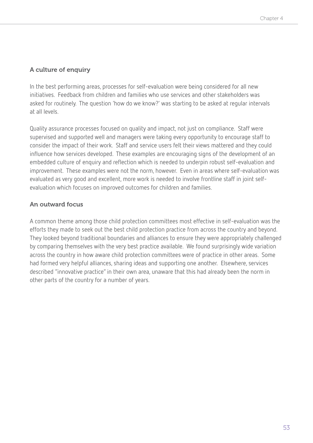# A culture of enquiry

In the best performing areas, processes for self-evaluation were being considered for all new initiatives. Feedback from children and families who use services and other stakeholders was asked for routinely. The question 'how do we know?' was starting to be asked at regular intervals at all levels.

Quality assurance processes focused on quality and impact, not just on compliance. Staff were supervised and supported well and managers were taking every opportunity to encourage staff to consider the impact of their work. Staff and service users felt their views mattered and they could influence how services developed. These examples are encouraging signs of the development of an embedded culture of enquiry and reflection which is needed to underpin robust self-evaluation and improvement. These examples were not the norm, however. Even in areas where self-evaluation was evaluated as very good and excellent, more work is needed to involve frontline staff in joint selfevaluation which focuses on improved outcomes for children and families.

# An outward focus

A common theme among those child protection committees most effective in self-evaluation was the efforts they made to seek out the best child protection practice from across the country and beyond. They looked beyond traditional boundaries and alliances to ensure they were appropriately challenged by comparing themselves with the very best practice available. We found surprisingly wide variation across the country in how aware child protection committees were of practice in other areas. Some had formed very helpful alliances, sharing ideas and supporting one another. Elsewhere, services described "innovative practice" in their own area, unaware that this had already been the norm in other parts of the country for a number of years.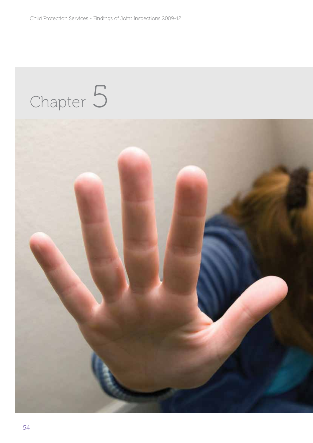# Chapter 5

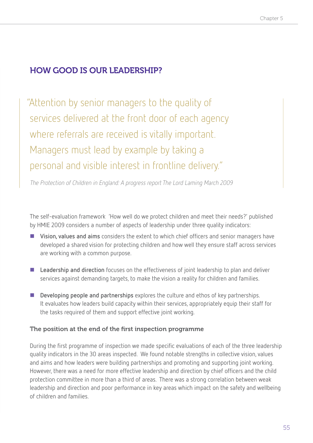# HOW GOOD IS OUR LEADERSHIP?

"Attention by senior managers to the quality of services delivered at the front door of each agency where referrals are received is vitally important. Managers must lead by example by taking a personal and visible interest in frontline delivery."

The Protection of Children in England: A progress report The Lord Laming March 2009

The self-evaluation framework 'How well do we protect children and meet their needs?' published by HMIE 2009 considers a number of aspects of leadership under three quality indicators:

- **Vision, values and aims** considers the extent to which chief officers and senior managers have developed a shared vision for protecting children and how well they ensure staff across services are working with a common purpose.
- Leadership and direction focuses on the effectiveness of joint leadership to plan and deliver services against demanding targets, to make the vision a reality for children and families.
- **Developing people and partnerships** explores the culture and ethos of key partnerships. It evaluates how leaders build capacity within their services, appropriately equip their staff for the tasks required of them and support effective joint working.

# The position at the end of the first inspection programme

During the first programme of inspection we made specific evaluations of each of the three leadership quality indicators in the 30 areas inspected. We found notable strengths in collective vision, values and aims and how leaders were building partnerships and promoting and supporting joint working. However, there was a need for more effective leadership and direction by chief officers and the child protection committee in more than a third of areas. There was a strong correlation between weak leadership and direction and poor performance in key areas which impact on the safety and wellbeing of children and families.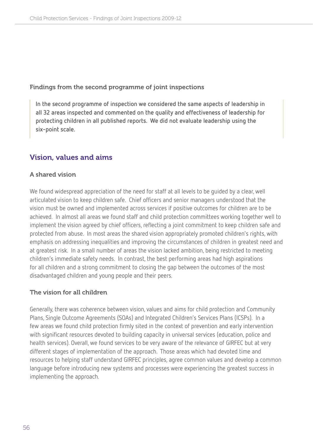#### Findings from the second programme of joint inspections

**In the second programme of inspection we considered the same aspects of leadership in all 32 areas inspected and commented on the quality and effectiveness of leadership for protecting children in all published reports. We did not evaluate leadership using the six-point scale.**

# Vision, values and aims

# A shared vision

We found widespread appreciation of the need for staff at all levels to be guided by a clear, well articulated vision to keep children safe. Chief officers and senior managers understood that the vision must be owned and implemented across services if positive outcomes for children are to be achieved. In almost all areas we found staff and child protection committees working together well to implement the vision agreed by chief officers, reflecting a joint commitment to keep children safe and protected from abuse. In most areas the shared vision appropriately promoted children's rights, with emphasis on addressing inequalities and improving the circumstances of children in greatest need and at greatest risk. In a small number of areas the vision lacked ambition, being restricted to meeting children's immediate safety needs. In contrast, the best performing areas had high aspirations for all children and a strong commitment to closing the gap between the outcomes of the most disadvantaged children and young people and their peers.

# The vision for all children

Generally, there was coherence between vision, values and aims for child protection and Community Plans, Single Outcome Agreements (SOAs) and Integrated Children's Services Plans (ICSPs). In a few areas we found child protection firmly sited in the context of prevention and early intervention with significant resources devoted to building capacity in universal services (education, police and health services). Overall, we found services to be very aware of the relevance of GIRFEC but at very different stages of implementation of the approach. Those areas which had devoted time and resources to helping staff understand GIRFEC principles, agree common values and develop a common language before introducing new systems and processes were experiencing the greatest success in implementing the approach.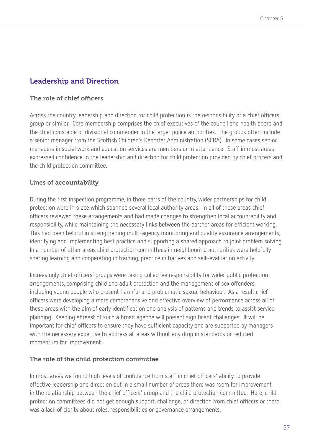# Leadership and Direction

# The role of chief officers

Across the country leadership and direction for child protection is the responsibility of a chief officers' group or similar. Core membership comprises the chief executives of the council and health board and the chief constable or divisional commander in the larger police authorities. The groups often include a senior manager from the Scottish Children's Reporter Administration (SCRA). In some cases senior managers in social work and education services are members or in attendance. Staff in most areas expressed confidence in the leadership and direction for child protection provided by chief officers and the child protection committee.

# Lines of accountability

During the first inspection programme, in three parts of the country, wider partnerships for child protection were in place which spanned several local authority areas. In all of these areas chief officers reviewed these arrangements and had made changes to strengthen local accountability and responsibility, while maintaining the necessary links between the partner areas for efficient working. This had been helpful in strengthening multi-agency monitoring and quality assurance arrangements, identifying and implementing best practice and supporting a shared approach to joint problem solving. In a number of other areas child protection committees in neighbouring authorities were helpfully sharing learning and cooperating in training, practice initiatives and self-evaluation activity.

Increasingly chief officers' groups were taking collective responsibility for wider public protection arrangements, comprising child and adult protection and the management of sex offenders, including young people who present harmful and problematic sexual behaviour. As a result chief officers were developing a more comprehensive and effective overview of performance across all of these areas with the aim of early identification and analysis of patterns and trends to assist service planning. Keeping abreast of such a broad agenda will present significant challenges. It will be important for chief officers to ensure they have sufficient capacity and are supported by managers with the necessary expertise to address all areas without any drop in standards or reduced momentum for improvement.

# The role of the child protection committee

In most areas we found high levels of confidence from staff in chief officers' ability to provide effective leadership and direction but in a small number of areas there was room for improvement in the relationship between the chief officers' group and the child protection committee. Here, child protection committees did not get enough support, challenge, or direction from chief officers or there was a lack of clarity about roles, responsibilities or governance arrangements.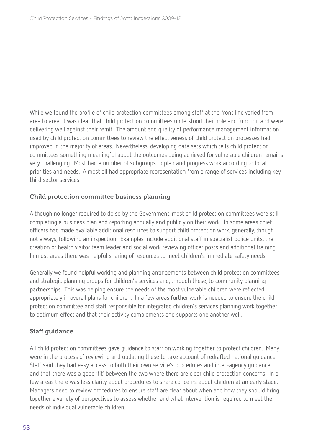While we found the profile of child protection committees among staff at the front line varied from area to area, it was clear that child protection committees understood their role and function and were delivering well against their remit. The amount and quality of performance management information used by child protection committees to review the effectiveness of child protection processes had improved in the majority of areas. Nevertheless, developing data sets which tells child protection committees something meaningful about the outcomes being achieved for vulnerable children remains very challenging. Most had a number of subgroups to plan and progress work according to local priorities and needs. Almost all had appropriate representation from a range of services including key third sector services.

# Child protection committee business planning

Although no longer required to do so by the Government, most child protection committees were still completing a business plan and reporting annually and publicly on their work. In some areas chief officers had made available additional resources to support child protection work, generally, though not always, following an inspection. Examples include additional staff in specialist police units, the creation of health visitor team leader and social work reviewing officer posts and additional training. In most areas there was helpful sharing of resources to meet children's immediate safety needs.

Generally we found helpful working and planning arrangements between child protection committees and strategic planning groups for children's services and, through these, to community planning partnerships. This was helping ensure the needs of the most vulnerable children were reflected appropriately in overall plans for children. In a few areas further work is needed to ensure the child protection committee and staff responsible for integrated children's services planning work together to optimum effect and that their activity complements and supports one another well.

# Staff guidance

All child protection committees gave guidance to staff on working together to protect children. Many were in the process of reviewing and updating these to take account of redrafted national guidance. Staff said they had easy access to both their own service's procedures and inter-agency guidance and that there was a good 'fit' between the two where there are clear child protection concerns. In a few areas there was less clarity about procedures to share concerns about children at an early stage. Managers need to review procedures to ensure staff are clear about when and how they should bring together a variety of perspectives to assess whether and what intervention is required to meet the needs of individual vulnerable children.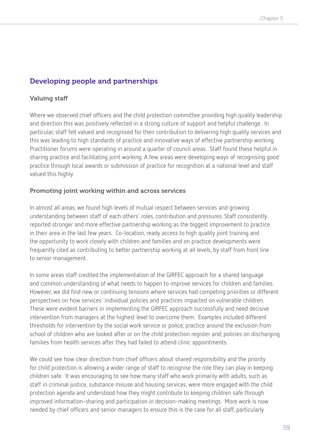# Developing people and partnerships

# Valuing staff

Where we observed chief officers and the child protection committee providing high quality leadership and direction this was positively reflected in a strong culture of support and helpful challenge. In particular, staff felt valued and recognised for their contribution to delivering high quality services and this was leading to high standards of practice and innovative ways of effective partnership working. Practitioner forums were operating in around a quarter of council areas. Staff found these helpful in sharing practice and facilitating joint working. A few areas were developing ways of recognising good practice through local awards or submission of practice for recognition at a national level and staff valued this highly.

# Promoting joint working within and across services

In almost all areas, we found high levels of mutual respect between services and growing understanding between staff of each others' roles, contribution and pressures. Staff consistently reported stronger and more effective partnership working as the biggest improvement to practice in their area in the last few years. Co-location, ready access to high quality joint training and the opportunity to work closely with children and families and on practice developments were frequently cited as contributing to better partnership working at all levels, by staff from front line to senior management.

In some areas staff credited the implementation of the GIRFEC approach for a shared language and common understanding of what needs to happen to improve services for children and families. However, we did find new or continuing tensions where services had competing priorities or different perspectives on how services' individual policies and practices impacted on vulnerable children. These were evident barriers in implementing the GIRFEC approach successfully and need decisive intervention from managers at the highest level to overcome them. Examples included different thresholds for intervention by the social work service or police; practice around the exclusion from school of children who are looked after or on the child protection register and; policies on discharging families from health services after they had failed to attend clinic appointments.

We could see how clear direction from chief officers about shared responsibility and the priority for child protection is allowing a wider range of staff to recognise the role they can play in keeping children safe. It was encouraging to see how many staff who work primarily with adults, such as staff in criminal justice, substance misuse and housing services, were more engaged with the child protection agenda and understood how they might contribute to keeping children safe through improved information-sharing and participation in decision-making meetings. More work is now needed by chief officers and senior managers to ensure this is the case for all staff, particularly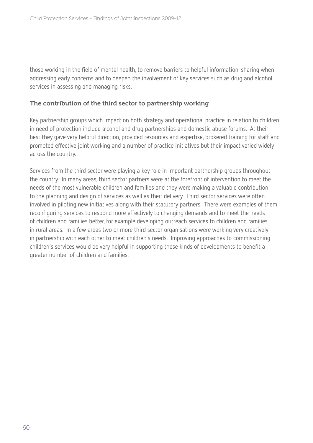those working in the field of mental health, to remove barriers to helpful information-sharing when addressing early concerns and to deepen the involvement of key services such as drug and alcohol services in assessing and managing risks.

#### The contribution of the third sector to partnership working

Key partnership groups which impact on both strategy and operational practice in relation to children in need of protection include alcohol and drug partnerships and domestic abuse forums. At their best they gave very helpful direction, provided resources and expertise, brokered training for staff and promoted effective joint working and a number of practice initiatives but their impact varied widely across the country.

Services from the third sector were playing a key role in important partnership groups throughout the country. In many areas, third sector partners were at the forefront of intervention to meet the needs of the most vulnerable children and families and they were making a valuable contribution to the planning and design of services as well as their delivery. Third sector services were often involved in piloting new initiatives along with their statutory partners. There were examples of them reconfiguring services to respond more effectively to changing demands and to meet the needs of children and families better, for example developing outreach services to children and families in rural areas. In a few areas two or more third sector organisations were working very creatively in partnership with each other to meet children's needs. Improving approaches to commissioning children's services would be very helpful in supporting these kinds of developments to benefit a greater number of children and families.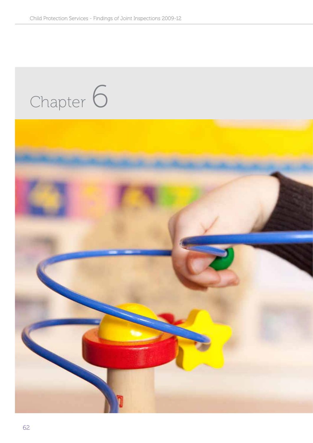# Chapter 6

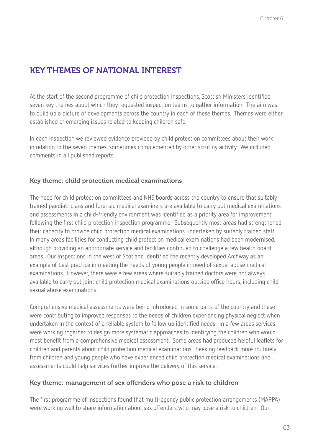# KEY THEMES OF NATIONAL INTEREST

At the start of the second programme of child protection inspections, Scottish Ministers identified seven key themes about which they requested inspection teams to gather information. The aim was to build up a picture of developments across the country in each of these themes. Themes were either established or emerging issues related to keeping children safe.

In each inspection we reviewed evidence provided by child protection committees about their work in relation to the seven themes, sometimes complemented by other scrutiny activity. We included comments in all published reports.

# Key theme: child protection medical examinations

The need for child protection committees and NHS boards across the country to ensure that suitably trained paediatricians and forensic medical examiners are available to carry out medical examinations and assessments in a child-friendly environment was identified as a priority area for improvement following the first child protection inspection programme. Subsequently most areas had strengthened their capacity to provide child protection medical examinations undertaken by suitably trained staff. In many areas facilities for conducting child protection medical examinations had been modernised, although providing an appropriate service and facilities continued to challenge a few health board areas. Our inspections in the west of Scotland identified the recently developed Archway as an example of best practice in meeting the needs of young people in need of sexual abuse medical examinations. However, there were a few areas where suitably trained doctors were not always available to carry out joint child protection medical examinations outside office hours, including child sexual abuse examinations.

Comprehensive medical assessments were being introduced in some parts of the country and these were contributing to improved responses to the needs of children experiencing physical neglect when undertaken in the context of a reliable system to follow up identified needs. In a few areas services were working together to design more systematic approaches to identifying the children who would most benefit from a comprehensive medical assessment. Some areas had produced helpful leaflets for children and parents about child protection medical examinations. Seeking feedback more routinely from children and young people who have experienced child protection medical examinations and assessments could help services further improve the delivery of this service.

#### Key theme: management of sex offenders who pose a risk to children

The first programme of inspections found that multi-agency public protection arrangements (MAPPA) were working well to share information about sex offenders who may pose a risk to children. Our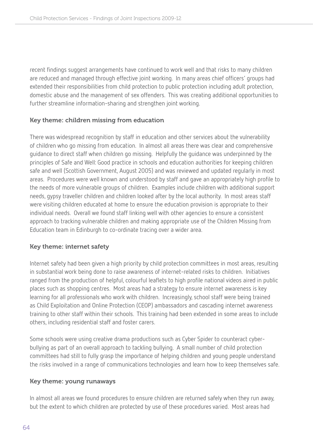recent findings suggest arrangements have continued to work well and that risks to many children are reduced and managed through effective joint working. In many areas chief officers' groups had extended their responsibilities from child protection to public protection including adult protection, domestic abuse and the management of sex offenders. This was creating additional opportunities to further streamline information-sharing and strengthen joint working.

# Key theme: children missing from education

There was widespread recognition by staff in education and other services about the vulnerability of children who go missing from education. In almost all areas there was clear and comprehensive guidance to direct staff when children go missing. Helpfully the guidance was underpinned by the principles of Safe and Well: Good practice in schools and education authorities for keeping children safe and well (Scottish Government, August 2005) and was reviewed and updated regularly in most areas. Procedures were well known and understood by staff and gave an appropriately high profile to the needs of more vulnerable groups of children. Examples include children with additional support needs, gypsy traveller children and children looked after by the local authority. In most areas staff were visiting children educated at home to ensure the education provision is appropriate to their individual needs. Overall we found staff linking well with other agencies to ensure a consistent approach to tracking vulnerable children and making appropriate use of the Children Missing from Education team in Edinburgh to co-ordinate tracing over a wider area.

# Key theme: internet safety

Internet safety had been given a high priority by child protection committees in most areas, resulting in substantial work being done to raise awareness of internet-related risks to children. Initiatives ranged from the production of helpful, colourful leaflets to high profile national videos aired in public places such as shopping centres. Most areas had a strategy to ensure internet awareness is key learning for all professionals who work with children. Increasingly, school staff were being trained as Child Exploitation and Online Protection (CEOP) ambassadors and cascading internet awareness training to other staff within their schools. This training had been extended in some areas to include others, including residential staff and foster carers.

Some schools were using creative drama productions such as Cyber Spider to counteract cyberbullying as part of an overall approach to tackling bullying. A small number of child protection committees had still to fully grasp the importance of helping children and young people understand the risks involved in a range of communications technologies and learn how to keep themselves safe.

# Key theme: young runaways

In almost all areas we found procedures to ensure children are returned safely when they run away, but the extent to which children are protected by use of these procedures varied. Most areas had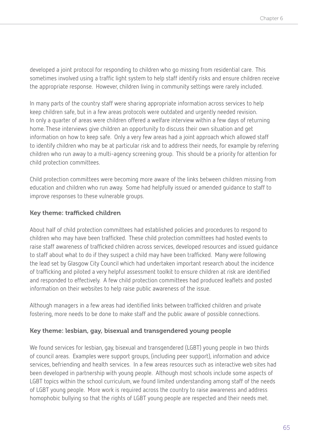developed a joint protocol for responding to children who go missing from residential care. This sometimes involved using a traffic light system to help staff identify risks and ensure children receive the appropriate response. However, children living in community settings were rarely included.

In many parts of the country staff were sharing appropriate information across services to help keep children safe, but in a few areas protocols were outdated and urgently needed revision. In only a quarter of areas were children offered a welfare interview within a few days of returning home. These interviews give children an opportunity to discuss their own situation and get information on how to keep safe. Only a very few areas had a joint approach which allowed staff to identify children who may be at particular risk and to address their needs, for example by referring children who run away to a multi-agency screening group. This should be a priority for attention for child protection committees.

Child protection committees were becoming more aware of the links between children missing from education and children who run away. Some had helpfully issued or amended guidance to staff to improve responses to these vulnerable groups.

# Key theme: trafficked children

About half of child protection committees had established policies and procedures to respond to children who may have been trafficked. These child protection committees had hosted events to raise staff awareness of trafficked children across services, developed resources and issued guidance to staff about what to do if they suspect a child may have been trafficked. Many were following the lead set by Glasgow City Council which had undertaken important research about the incidence of trafficking and piloted a very helpful assessment toolkit to ensure children at risk are identified and responded to effectively. A few child protection committees had produced leaflets and posted information on their websites to help raise public awareness of the issue.

Although managers in a few areas had identified links between trafficked children and private fostering, more needs to be done to make staff and the public aware of possible connections.

# Key theme: lesbian, gay, bisexual and transgendered young people

We found services for lesbian, gay, bisexual and transgendered (LGBT) young people in two thirds of council areas. Examples were support groups, (including peer support), information and advice services, befriending and health services. In a few areas resources such as interactive web sites had been developed in partnership with young people. Although most schools include some aspects of LGBT topics within the school curriculum, we found limited understanding among staff of the needs of LGBT young people. More work is required across the country to raise awareness and address homophobic bullying so that the rights of LGBT young people are respected and their needs met.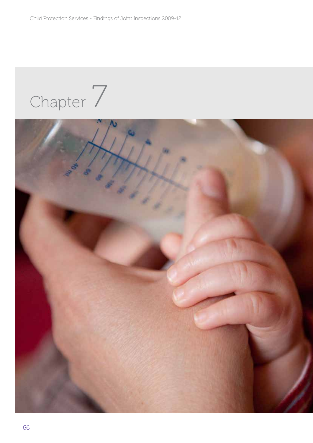Chapter 7

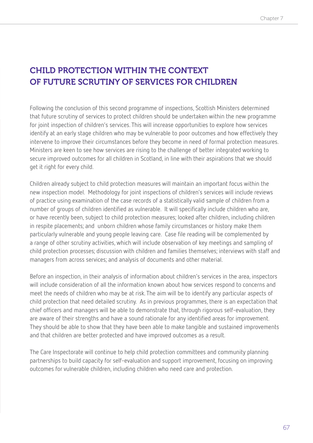# Child protection within the context of future scrutiny of services for children

Following the conclusion of this second programme of inspections, Scottish Ministers determined that future scrutiny of services to protect children should be undertaken within the new programme for joint inspection of children's services. This will increase opportunities to explore how services identify at an early stage children who may be vulnerable to poor outcomes and how effectively they intervene to improve their circumstances before they become in need of formal protection measures. Ministers are keen to see how services are rising to the challenge of better integrated working to secure improved outcomes for all children in Scotland, in line with their aspirations that we should get it right for every child.

Children already subject to child protection measures will maintain an important focus within the new inspection model. Methodology for joint inspections of children's services will include reviews of practice using examination of the case records of a statistically valid sample of children from a number of groups of children identified as vulnerable. It will specifically include children who are, or have recently been, subject to child protection measures; looked after children, including children in respite placements; and unborn children whose family circumstances or history make them particularly vulnerable and young people leaving care. Case file reading will be complemented by a range of other scrutiny activities, which will include observation of key meetings and sampling of child protection processes; discussion with children and families themselves; interviews with staff and managers from across services; and analysis of documents and other material.

Before an inspection, in their analysis of information about children's services in the area, inspectors will include consideration of all the information known about how services respond to concerns and meet the needs of children who may be at risk. The aim will be to identify any particular aspects of child protection that need detailed scrutiny. As in previous programmes, there is an expectation that chief officers and managers will be able to demonstrate that, through rigorous self-evaluation, they are aware of their strengths and have a sound rationale for any identified areas for improvement. They should be able to show that they have been able to make tangible and sustained improvements and that children are better protected and have improved outcomes as a result.

The Care Inspectorate will continue to help child protection committees and community planning partnerships to build capacity for self-evaluation and support improvement, focusing on improving outcomes for vulnerable children, including children who need care and protection.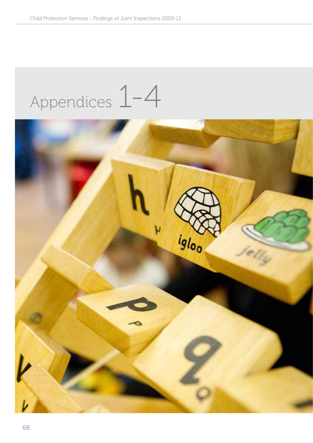# Appendices 1-4

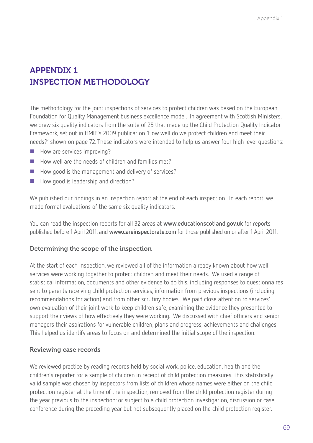# Appendix 1 Inspection methodology

The methodology for the joint inspections of services to protect children was based on the European Foundation for Quality Management business excellence model. In agreement with Scottish Ministers, we drew six quality indicators from the suite of 25 that made up the Child Protection Quality Indicator Framework, set out in HMIE's 2009 publication 'How well do we protect children and meet their needs?' shown on page 72. These indicators were intended to help us answer four high level questions:

- $\blacksquare$  How are services improving?
- $\blacksquare$  How well are the needs of children and families met?
- How good is the management and delivery of services?
- How good is leadership and direction?

We published our findings in an inspection report at the end of each inspection. In each report, we made formal evaluations of the same six quality indicators.

You can read the inspection reports for all 32 areas at **www.educationscotland.gov.uk** for reports published before 1 April 2011, and **www.careinspectorate.com** for those published on or after 1 April 2011.

#### Determining the scope of the inspection

At the start of each inspection, we reviewed all of the information already known about how well services were working together to protect children and meet their needs. We used a range of statistical information, documents and other evidence to do this, including responses to questionnaires sent to parents receiving child protection services, information from previous inspections (including recommendations for action) and from other scrutiny bodies. We paid close attention to services' own evaluation of their joint work to keep children safe, examining the evidence they presented to support their views of how effectively they were working. We discussed with chief officers and senior managers their aspirations for vulnerable children, plans and progress, achievements and challenges. This helped us identify areas to focus on and determined the initial scope of the inspection.

# Reviewing case records

We reviewed practice by reading records held by social work, police, education, health and the children's reporter for a sample of children in receipt of child protection measures. This statistically valid sample was chosen by inspectors from lists of children whose names were either on the child protection register at the time of the inspection; removed from the child protection register during the year previous to the inspection; or subject to a child protection investigation, discussion or case conference during the preceding year but not subsequently placed on the child protection register.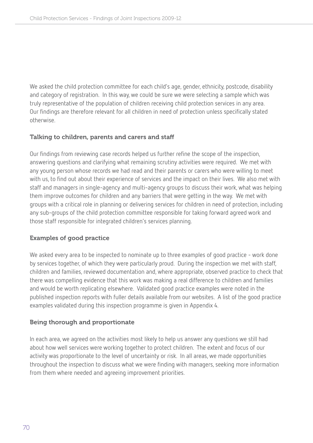We asked the child protection committee for each child's age, gender, ethnicity, postcode, disability and category of registration. In this way, we could be sure we were selecting a sample which was truly representative of the population of children receiving child protection services in any area. Our findings are therefore relevant for all children in need of protection unless specifically stated otherwise.

# Talking to children, parents and carers and staff

Our findings from reviewing case records helped us further refine the scope of the inspection, answering questions and clarifying what remaining scrutiny activities were required. We met with any young person whose records we had read and their parents or carers who were willing to meet with us, to find out about their experience of services and the impact on their lives. We also met with staff and managers in single-agency and multi-agency groups to discuss their work, what was helping them improve outcomes for children and any barriers that were getting in the way. We met with groups with a critical role in planning or delivering services for children in need of protection, including any sub-groups of the child protection committee responsible for taking forward agreed work and those staff responsible for integrated children's services planning.

# Examples of good practice

We asked every area to be inspected to nominate up to three examples of good practice - work done by services together, of which they were particularly proud. During the inspection we met with staff, children and families, reviewed documentation and, where appropriate, observed practice to check that there was compelling evidence that this work was making a real difference to children and families and would be worth replicating elsewhere. Validated good practice examples were noted in the published inspection reports with fuller details available from our websites. A list of the good practice examples validated during this inspection programme is given in Appendix 4.

# Being thorough and proportionate

In each area, we agreed on the activities most likely to help us answer any questions we still had about how well services were working together to protect children. The extent and focus of our activity was proportionate to the level of uncertainty or risk. In all areas, we made opportunities throughout the inspection to discuss what we were finding with managers, seeking more information from them where needed and agreeing improvement priorities.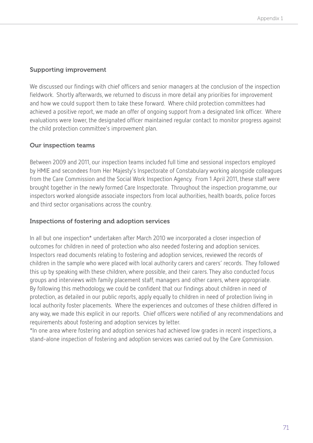#### Supporting improvement

We discussed our findings with chief officers and senior managers at the conclusion of the inspection fieldwork. Shortly afterwards, we returned to discuss in more detail any priorities for improvement and how we could support them to take these forward. Where child protection committees had achieved a positive report, we made an offer of ongoing support from a designated link officer. Where evaluations were lower, the designated officer maintained regular contact to monitor progress against the child protection committee's improvement plan.

# Our inspection teams

Between 2009 and 2011, our inspection teams included full time and sessional inspectors employed by HMIE and secondees from Her Majesty's Inspectorate of Constabulary working alongside colleagues from the Care Commission and the Social Work Inspection Agency. From 1 April 2011, these staff were brought together in the newly formed Care Inspectorate. Throughout the inspection programme, our inspectors worked alongside associate inspectors from local authorities, health boards, police forces and third sector organisations across the country.

# Inspections of fostering and adoption services

In all but one inspection\* undertaken after March 2010 we incorporated a closer inspection of outcomes for children in need of protection who also needed fostering and adoption services. Inspectors read documents relating to fostering and adoption services, reviewed the records of children in the sample who were placed with local authority carers and carers' records. They followed this up by speaking with these children, where possible, and their carers. They also conducted focus groups and interviews with family placement staff, managers and other carers, where appropriate. By following this methodology, we could be confident that our findings about children in need of protection, as detailed in our public reports, apply equally to children in need of protection living in local authority foster placements. Where the experiences and outcomes of these children differed in any way, we made this explicit in our reports. Chief officers were notified of any recommendations and requirements about fostering and adoption services by letter.

\*In one area where fostering and adoption services had achieved low grades in recent inspections, a stand-alone inspection of fostering and adoption services was carried out by the Care Commission.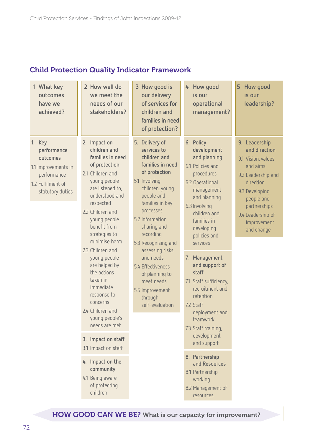# Child Protection Quality Indicator Framework

| 1 What key<br>outcomes<br>have we<br>achieved?                                                                   | 2 How well do<br>we meet the<br>needs of our<br>stakeholders?                                                                                                                                                                                                                                                                                                                                                                                                                                                                                               | 3 How good is<br>our delivery<br>of services for<br>children and<br>families in need<br>of protection?                                                                                                                                                                                                                                                                           | How good<br>4<br>is our<br>operational<br>management?                                                                                                                                                                                                                                                                                                                                                                                                                                                                             | How good<br>5<br>is our<br>leadership?                                                                                                                                                                |
|------------------------------------------------------------------------------------------------------------------|-------------------------------------------------------------------------------------------------------------------------------------------------------------------------------------------------------------------------------------------------------------------------------------------------------------------------------------------------------------------------------------------------------------------------------------------------------------------------------------------------------------------------------------------------------------|----------------------------------------------------------------------------------------------------------------------------------------------------------------------------------------------------------------------------------------------------------------------------------------------------------------------------------------------------------------------------------|-----------------------------------------------------------------------------------------------------------------------------------------------------------------------------------------------------------------------------------------------------------------------------------------------------------------------------------------------------------------------------------------------------------------------------------------------------------------------------------------------------------------------------------|-------------------------------------------------------------------------------------------------------------------------------------------------------------------------------------------------------|
| 1. Key<br>performance<br>outcomes<br>1.1 Improvements in<br>performance<br>1.2 Fulfilment of<br>statutory duties | 2. Impact on<br>children and<br>families in need<br>of protection<br>2.1 Children and<br>young people<br>are listened to,<br>understood and<br>respected<br>2.2 Children and<br>young people<br>benefit from<br>strategies to<br>minimise harm<br>2.3 Children and<br>young people<br>are helped by<br>the actions<br>taken in<br>immediate<br>response to<br>concerns<br>2.4 Children and<br>young people's<br>needs are met<br>3. Impact on staff<br>3.1 Impact on staff<br>4. Impact on the<br>community<br>4.1 Being aware<br>of protecting<br>children | 5. Delivery of<br>services to<br>children and<br>families in need<br>of protection<br>5.1 Involving<br>children, young<br>people and<br>families in key<br>processes<br>5.2 Information<br>sharing and<br>recording<br>5.3 Recognising and<br>assessing risks<br>and needs<br>5.4 Effectiveness<br>of planning to<br>meet needs<br>5.5 Improvement<br>through<br>self-evaluation | 6. Policy<br>development<br>and planning<br>6.1 Policies and<br>procedures<br>6.2 Operational<br>management<br>and planning<br>6.3 Involving<br>children and<br>families in<br>developing<br>policies and<br>services<br>Management<br>7.<br>and support of<br>staff<br>7.1 Staff sufficiency,<br>recruitment and<br>retention<br>7.2 Staff<br>deployment and<br>teamwork<br>7.3 Staff training,<br>development<br>and support<br>8. Partnership<br>and Resources<br>8.1 Partnership<br>working<br>8.2 Management of<br>resources | 9. Leadership<br>and direction<br>9.1 Vision, values<br>and aims<br>9.2 Leadership and<br>direction<br>9.3 Developing<br>people and<br>partnerships<br>9.4 Leadership of<br>improvement<br>and change |

HOW GOOD CAN WE BE? What is our capacity for improvement?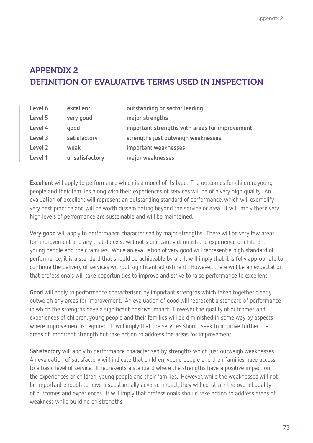# Appendix 2 Definition of evaluative terms used in inspection

| Level 6 | excellent      | outstanding or sector leading                  |
|---------|----------------|------------------------------------------------|
| Level 5 | very good      | major strengths                                |
| Level 4 | qood           | important strengths with areas for improvement |
| Level 3 | satisfactory   | strengths just outweigh weaknesses             |
| Level 2 | weak           | important weaknesses                           |
| Level 1 | unsatisfactory | major weaknesses                               |

**Excellent** will apply to performance which is a model of its type. The outcomes for children, young people and their families along with their experiences of services will be of a very high quality. An evaluation of excellent will represent an outstanding standard of performance, which will exemplify very best practice and will be worth disseminating beyond the service or area. It will imply these very high levels of performance are sustainable and will be maintained.

**Very good** will apply to performance characterised by major strengths. There will be very few areas for improvement and any that do exist will not significantly diminish the experience of children, young people and their families. While an evaluation of very good will represent a high standard of performance, it is a standard that should be achievable by all. It will imply that it is fully appropriate to continue the delivery of services without significant adjustment. However, there will be an expectation that professionals will take opportunities to improve and strive to raise performance to excellent.

**Good** will apply to performance characterised by important strengths which taken together clearly outweigh any areas for improvement. An evaluation of good will represent a standard of performance in which the strengths have a significant positive impact. However the quality of outcomes and experiences of children, young people and their families will be diminished in some way by aspects where improvement is required. It will imply that the services should seek to improve further the areas of important strength but take action to address the areas for improvement.

**Satisfactory** will apply to performance characterised by strengths which just outweigh weaknesses. An evaluation of satisfactory will indicate that children, young people and their families have access to a basic level of service. It represents a standard where the strengths have a positive impact on the experiences of children, young people and their families. However, while the weaknesses will not be important enough to have a substantially adverse impact, they will constrain the overall quality of outcomes and experiences. It will imply that professionals should take action to address areas of weakness while building on strengths.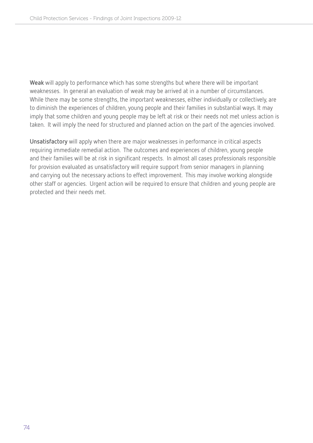**Weak** will apply to performance which has some strengths but where there will be important weaknesses. In general an evaluation of weak may be arrived at in a number of circumstances. While there may be some strengths, the important weaknesses, either individually or collectively, are to diminish the experiences of children, young people and their families in substantial ways. It may imply that some children and young people may be left at risk or their needs not met unless action is taken. It will imply the need for structured and planned action on the part of the agencies involved.

**Unsatisfactory** will apply when there are major weaknesses in performance in critical aspects requiring immediate remedial action. The outcomes and experiences of children, young people and their families will be at risk in significant respects. In almost all cases professionals responsible for provision evaluated as unsatisfactory will require support from senior managers in planning and carrying out the necessary actions to effect improvement. This may involve working alongside other staff or agencies. Urgent action will be required to ensure that children and young people are protected and their needs met.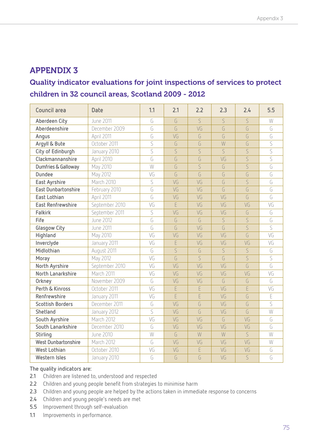# Appendix 3

# Quality indicator evaluations for joint inspections of services to protect children in 32 council areas, Scotland 2009 - 2012

| Council area               | <b>Date</b>      | 1.1 | 2.1            | 2.2 | 2.3            | 2.4            | 5.5                   |
|----------------------------|------------------|-----|----------------|-----|----------------|----------------|-----------------------|
| Aberdeen City              | <b>June 2011</b> | G   | G              | S   | S              | S              | W                     |
| Aberdeenshire              | December 2009    | G   | G              | VG  | G              | G              | G                     |
| Angus                      | April 2011       | G   | VG             | G   | G              | G              | G                     |
| Argyll & Bute              | October 2011     | S   | G              | G   | W              | G              | $\overline{S}$        |
| City of Edinburgh          | January 2010     | S   | $\overline{S}$ | S   | $\overline{S}$ | $\overline{S}$ | S                     |
| Clackmannanshire           | April 2010       | G   | G              | G   | VG             | S              | S                     |
| Dumfries & Galloway        | May 2010         | W   | G              | S   | G              | $\overline{S}$ | G                     |
| <b>Dundee</b>              | May 2012         | VG  | $\overline{G}$ | G   | G              | G              | G                     |
| East Ayrshire              | March 2010       | S   | VG             | VG  | G              | S              | G                     |
| <b>East Dunbartonshire</b> | February 2010    | G   | VG             | VG  | G              | G              | G                     |
| East Lothian               | April 2011       | G   | VG             | VG  | VG             | G              | G                     |
| <b>East Renfrewshire</b>   | September 2010   | VG  | E              | VG  | VG             | VG             | VG                    |
| <b>Falkirk</b>             | September 2011   | S   | VG             | VG  | VG             | G              | G                     |
| Fife                       | June 2012        | G   | G              | G   | $\overline{S}$ | S              | G                     |
| <b>Glasgow City</b>        | <b>June 2011</b> | G   | G              | VG  | G              | S              | $\overline{S}$        |
| Highland                   | May 2010         | VG  | VG             | VG  | VG             | G              | $\overline{\sqrt{G}}$ |
| Inverclyde                 | January 2011     | VG  | E              | VG  | VG             | VG             | VG                    |
| Midlothian                 | August 2011      | G   | $\overline{S}$ | G   | $\overline{S}$ | $\overline{S}$ | G                     |
| Moray                      | May 2012         | VG  | $\overline{G}$ | S   | G              | S              | S                     |
| North Ayrshire             | September 2010   | VG  | VG             | VG  | VG             | G              | G                     |
| North Lanarkshire          | March 2011       | VG  | VG             | VG  | VG             | VG             | VG                    |
| Orkney                     | November 2009    | G   | VG             | VG  | G              | G              | G                     |
| Perth & Kinross            | October 2011     | VG  | E              | E   | VG             | E              | VG                    |
| Renfrewshire               | January 2011     | VG  | F              | Ē   | VG             | G              | $\overline{E}$        |
| <b>Scottish Borders</b>    | December 2011    | G   | VG             | G   | VG             | G              | S                     |
| Shetland                   | January 2012     | S   | VG             | G   | VG             | G              | W                     |
| South Ayrshire             | March 2012       | VG  | VG             | VG  | G              | VG             | G                     |
| South Lanarkshire          | December 2010    | G   | VG             | VG  | VG             | VG             | G                     |
| Stirling                   | June 2010        | W   | G              | W   | W              | $\overline{S}$ | W                     |
| <b>West Dunbartonshire</b> | March 2012       | G   | VG             | VG  | VG             | VG             | W                     |
| <b>West Lothian</b>        | October 2010     | VG  | VG             | E   | VG             | VG             | G                     |
| Western Isles              | January 2010     | G   | G              | G   | VG             | S              | G                     |

#### **The quality indicators are:**

- **2.1** Children are listened to, understood and respected
- **2.2** Children and young people benefit from strategies to minimise harm
- **2.3** Children and young people are helped by the actions taken in immediate response to concerns
- **2.4** Children and young people's needs are met
- **5.5** Improvement through self-evaluation
- **1.1** Improvements in performance.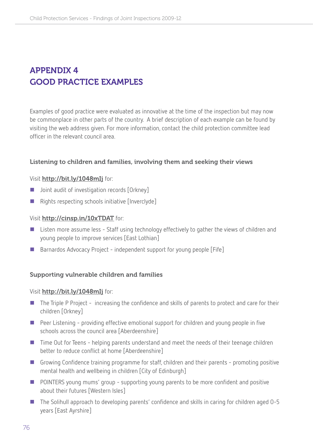# APPENDIX 4 Good practice examples

Examples of good practice were evaluated as innovative at the time of the inspection but may now be commonplace in other parts of the country. A brief description of each example can be found by visiting the web address given. For more information, contact the child protection committee lead officer in the relevant council area.

#### Listening to children and families, involving them and seeking their views

#### Visit http://bit.ly/1048mIj for:

- Joint audit of investigation records [Orkney]
- Rights respecting schools initiative [Inverclyde]

#### Visit http://cinsp.in/10xTDAT for:

- Listen more assume less Staff using technology effectively to gather the views of children and young people to improve services [East Lothian]
- Barnardos Advocacy Project independent support for young people [Fife]

#### Supporting vulnerable children and families

#### Visit http://bit.ly/1048mIj for:

- The Triple P Project increasing the confidence and skills of parents to protect and care for their children [Orkney]
- Peer Listening providing effective emotional support for children and young people in five schools across the council area [Aberdeenshire]
- Time Out for Teens helping parents understand and meet the needs of their teenage children better to reduce conflict at home [Aberdeenshire]
- Growing Confidence training programme for staff, children and their parents promoting positive mental health and wellbeing in children [City of Edinburgh]
- **POINTERS** young mums' group supporting young parents to be more confident and positive about their futures [Western Isles]
- The Solihull approach to developing parents' confidence and skills in caring for children aged 0-5 years [East Ayrshire]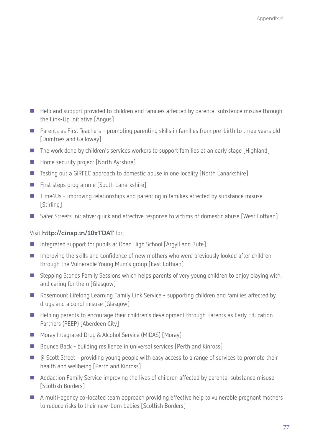- Help and support provided to children and families affected by parental substance misuse through the Link-Up initiative [Angus]
- Parents as First Teachers promoting parenting skills in families from pre-birth to three years old [Dumfries and Galloway]
- The work done by children's services workers to support families at an early stage [Highland]
- Home security project [North Ayrshire]
- Testing out a GIRFEC approach to domestic abuse in one locality [North Lanarkshire]
- **First steps programme [South Lanarkshire]**
- Time4Us improving relationships and parenting in families affected by substance misuse [Stirling]
- Safer Streets initiative: quick and effective response to victims of domestic abuse [West Lothian]

# Visit http://cinsp.in/10xTDAT for:

- Integrated support for pupils at Oban High School [Argyll and Bute]
- **IMP** Improving the skills and confidence of new mothers who were previously looked after children through the Vulnerable Young Mum's group [East Lothian]
- Stepping Stones Family Sessions which helps parents of very young children to enjoy playing with, and caring for them [Glasgow]
- Rosemount Lifelong Learning Family Link Service supporting children and families affected by drugs and alcohol misuse [Glasgow]
- **Helping parents to encourage their children's development through Parents as Early Education** Partners (PEEP) [Aberdeen City]
- Moray Integrated Drug & Alcohol Service (MIDAS) [Moray]
- Bounce Back building resilience in universal services [Perth and Kinross]
- @ Scott Street providing young people with easy access to a range of services to promote their health and wellbeing [Perth and Kinross]
- Addaction Family Service improving the lives of children affected by parental substance misuse [Scottish Borders]
- A multi-agency co-located team approach providing effective help to vulnerable pregnant mothers to reduce risks to their new-born babies [Scottish Borders]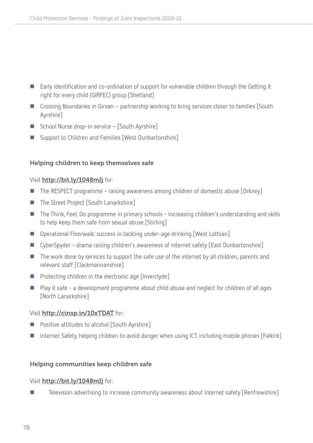- Early identification and co-ordination of support for vulnerable children through the Getting it right for every child (GIRFEC) group [Shetland]
- Crossing Boundaries in Girvan partnership working to bring services closer to families [South] Ayrshire]
- School Nurse drop-in service [South Ayrshire]
- Support to Children and Families [West Dunbartonshire]

# Helping children to keep themselves safe

#### Visit http://bit.ly/1048mIj for:

- The RESPECT programme raising awareness among children of domestic abuse [Orkney]
- The Street Project [South Lanarkshire]
- The Think, Feel, Do programme in primary schools increasing children's understanding and skills to help keep them safe from sexual abuse [Stirling]
- Operational Floorwalk: success in tackling under-age drinking [West Lothian]
- CyberSpyder drama raising children's awareness of internet safety [East Dunbartonshire]
- The work done by services to support the safe use of the internet by all children, parents and relevant staff [Clackmannanshire]
- $\blacksquare$  Protecting children in the electronic age [Inverclyde]
- Play it safe a development programme about child abuse and neglect for children of all ages [North Lanarkshire]

#### Visit http://cinsp.in/10xTDAT for:

- **Positive attitudes to alcohol [South Ayrshire]**
- Internet Safety, helping children to avoid danger when using ICT, including mobile phones [Falkirk]

#### Helping communities keep children safe

#### Visit http://bit.ly/1048mIj for:

■ Television advertising to increase community awareness about internet safety [Renfrewshire]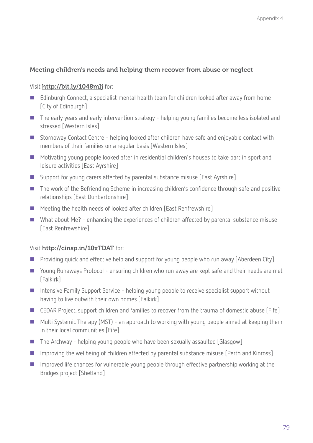# Meeting children's needs and helping them recover from abuse or neglect

#### Visit http://bit.ly/1048mIj for:

- Edinburgh Connect, a specialist mental health team for children looked after away from home [City of Edinburgh]
- The early years and early intervention strategy helping young families become less isolated and stressed [Western Isles]
- Stornoway Contact Centre helping looked after children have safe and enjoyable contact with members of their families on a regular basis [Western Isles]
- Motivating young people looked after in residential children's houses to take part in sport and leisure activities [East Ayrshire]
- Support for young carers affected by parental substance misuse [East Ayrshire]
- The work of the Befriending Scheme in increasing children's confidence through safe and positive relationships [East Dunbartonshire]
- Meeting the health needs of looked after children [East Renfrewshire]
- What about Me? enhancing the experiences of children affected by parental substance misuse [East Renfrewshire]

# Visit http://cinsp.in/10xTDAT for:

- **Providing quick and effective help and support for young people who run away [Aberdeen City]**
- Young Runaways Protocol ensuring children who run away are kept safe and their needs are met [Falkirk]
- Intensive Family Support Service helping young people to receive specialist support without having to live outwith their own homes [Falkirk]
- CEDAR Project, support children and families to recover from the trauma of domestic abuse [Fife]
- Multi Systemic Therapy (MST) an approach to working with young people aimed at keeping them in their local communities [Fife]
- $\blacksquare$  The Archway helping young people who have been sexually assaulted [Glasgow]
- Improving the wellbeing of children affected by parental substance misuse [Perth and Kinross]
- **IMP** Improved life chances for vulnerable young people through effective partnership working at the Bridges project [Shetland]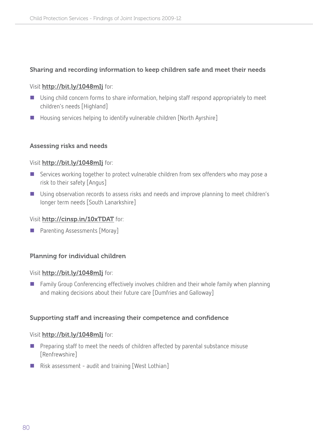# Sharing and recording information to keep children safe and meet their needs

#### Visit http://bit.ly/1048mIj for:

- Using child concern forms to share information, helping staff respond appropriately to meet children's needs [Highland]
- Housing services helping to identify vulnerable children [North Ayrshire]

#### Assessing risks and needs

#### Visit http://bit.ly/1048mIj for:

- Services working together to protect vulnerable children from sex offenders who may pose a risk to their safety [Angus]
- Using observation records to assess risks and needs and improve planning to meet children's longer term needs [South Lanarkshire]

#### Visit http://cinsp.in/10xTDAT for:

■ Parenting Assessments [Moray]

# Planning for individual children

#### Visit http://bit.ly/1048mIj for:

 Family Group Conferencing effectively involves children and their whole family when planning and making decisions about their future care [Dumfries and Galloway]

# Supporting staff and increasing their competence and confidence

#### Visit http://bit.ly/1048mIj for:

- $\blacksquare$  Preparing staff to meet the needs of children affected by parental substance misuse [Renfrewshire]
- Risk assessment audit and training [West Lothian]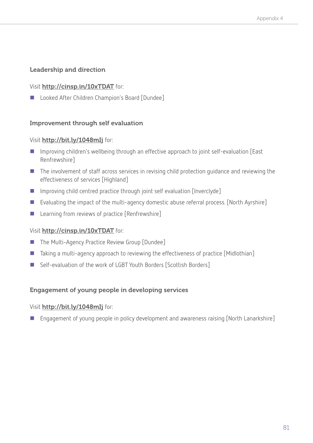# Leadership and direction

# Visit http://cinsp.in/10xTDAT for:

■ Looked After Children Champion's Board [Dundee]

# Improvement through self evaluation

#### Visit http://bit.ly/1048mIj for:

- Improving children's wellbeing through an effective approach to joint self-evaluation [East Renfrewshire]
- The involvement of staff across services in revising child protection guidance and reviewing the effectiveness of services [Highland]
- Improving child centred practice through joint self evaluation [Inverclyde]
- Evaluating the impact of the multi-agency domestic abuse referral process. [North Ayrshire]
- **Learning from reviews of practice [Renfrewshire]**

# Visit http://cinsp.in/10xTDAT for:

- The Multi-Agency Practice Review Group [Dundee]
- Taking a multi-agency approach to reviewing the effectiveness of practice [Midlothian]
- Self-evaluation of the work of LGBT Youth Borders [Scottish Borders]

# Engagement of young people in developing services

# Visit http://bit.ly/1048mIj for:

Engagement of young people in policy development and awareness raising [North Lanarkshire]